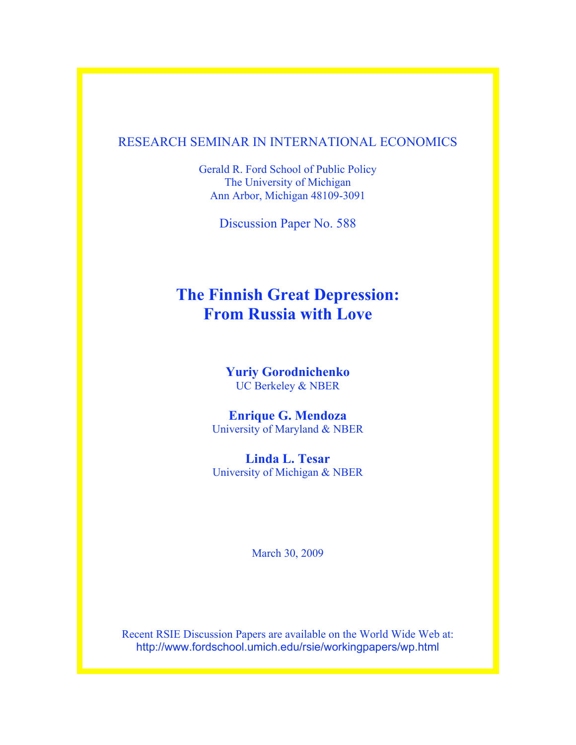# RESEARCH SEMINAR IN INTERNATIONAL ECONOMICS

Gerald R. Ford School of Public Policy The University of Michigan Ann Arbor, Michigan 48109-3091

Discussion Paper No. 588

# **The Finnish Great Depression: From Russia with Love**

**Yuriy Gorodnichenko** UC Berkeley & NBER

**Enrique G. Mendoza** University of Maryland & NBER

**Linda L. Tesar** University of Michigan & NBER

March 30, 2009

Recent RSIE Discussion Papers are available on the World Wide Web at: http://www.fordschool.umich.edu/rsie/workingpapers/wp.html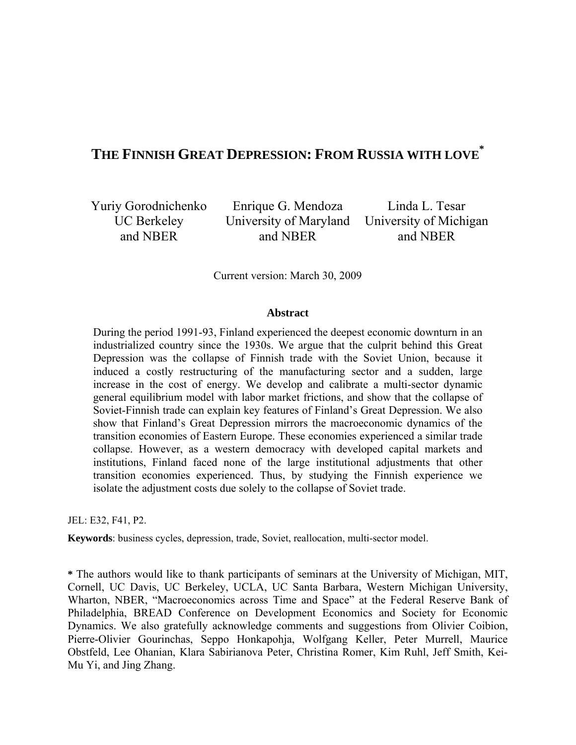# **THE FINNISH GREAT DEPRESSION: FROM RUSSIA WITH LOVE \***

Yuriy Gorodnichenko UC Berkeley and NBER

Enrique G. Mendoza University of Maryland and NBER

Linda L. Tesar University of Michigan and NBER

Current version: March 30, 2009

#### **Abstract**

During the period 1991-93, Finland experienced the deepest economic downturn in an industrialized country since the 1930s. We argue that the culprit behind this Great Depression was the collapse of Finnish trade with the Soviet Union, because it induced a costly restructuring of the manufacturing sector and a sudden, large increase in the cost of energy. We develop and calibrate a multi-sector dynamic general equilibrium model with labor market frictions, and show that the collapse of Soviet-Finnish trade can explain key features of Finland's Great Depression. We also show that Finland's Great Depression mirrors the macroeconomic dynamics of the transition economies of Eastern Europe. These economies experienced a similar trade collapse. However, as a western democracy with developed capital markets and institutions, Finland faced none of the large institutional adjustments that other transition economies experienced. Thus, by studying the Finnish experience we isolate the adjustment costs due solely to the collapse of Soviet trade.

JEL: E32, F41, P2.

**Keywords**: business cycles, depression, trade, Soviet, reallocation, multi-sector model.

**\*** The authors would like to thank participants of seminars at the University of Michigan, MIT, Cornell, UC Davis, UC Berkeley, UCLA, UC Santa Barbara, Western Michigan University, Wharton, NBER, "Macroeconomics across Time and Space" at the Federal Reserve Bank of Philadelphia, BREAD Conference on Development Economics and Society for Economic Dynamics. We also gratefully acknowledge comments and suggestions from Olivier Coibion, Pierre-Olivier Gourinchas, Seppo Honkapohja, Wolfgang Keller, Peter Murrell, Maurice Obstfeld, Lee Ohanian, Klara Sabirianova Peter, Christina Romer, Kim Ruhl, Jeff Smith, Kei-Mu Yi, and Jing Zhang.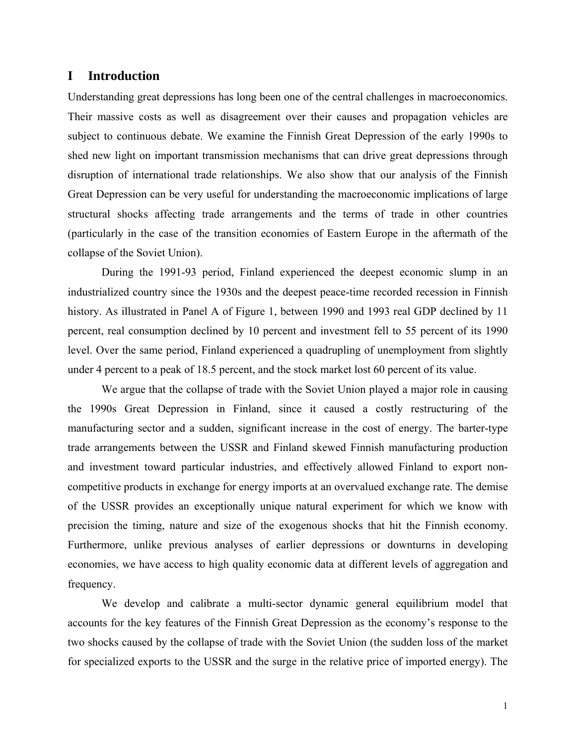## **I Introduction**

Understanding great depressions has long been one of the central challenges in macroeconomics. Their massive costs as well as disagreement over their causes and propagation vehicles are subject to continuous debate. We examine the Finnish Great Depression of the early 1990s to shed new light on important transmission mechanisms that can drive great depressions through disruption of international trade relationships. We also show that our analysis of the Finnish Great Depression can be very useful for understanding the macroeconomic implications of large structural shocks affecting trade arrangements and the terms of trade in other countries (particularly in the case of the transition economies of Eastern Europe in the aftermath of the collapse of the Soviet Union).

During the 1991-93 period, Finland experienced the deepest economic slump in an industrialized country since the 1930s and the deepest peace-time recorded recession in Finnish history. As illustrated in Panel A of Figure 1, between 1990 and 1993 real GDP declined by 11 percent, real consumption declined by 10 percent and investment fell to 55 percent of its 1990 level. Over the same period, Finland experienced a quadrupling of unemployment from slightly under 4 percent to a peak of 18.5 percent, and the stock market lost 60 percent of its value.

We argue that the collapse of trade with the Soviet Union played a major role in causing the 1990s Great Depression in Finland, since it caused a costly restructuring of the manufacturing sector and a sudden, significant increase in the cost of energy. The barter-type trade arrangements between the USSR and Finland skewed Finnish manufacturing production and investment toward particular industries, and effectively allowed Finland to export noncompetitive products in exchange for energy imports at an overvalued exchange rate. The demise of the USSR provides an exceptionally unique natural experiment for which we know with precision the timing, nature and size of the exogenous shocks that hit the Finnish economy. Furthermore, unlike previous analyses of earlier depressions or downturns in developing economies, we have access to high quality economic data at different levels of aggregation and frequency.

We develop and calibrate a multi-sector dynamic general equilibrium model that accounts for the key features of the Finnish Great Depression as the economy's response to the two shocks caused by the collapse of trade with the Soviet Union (the sudden loss of the market for specialized exports to the USSR and the surge in the relative price of imported energy). The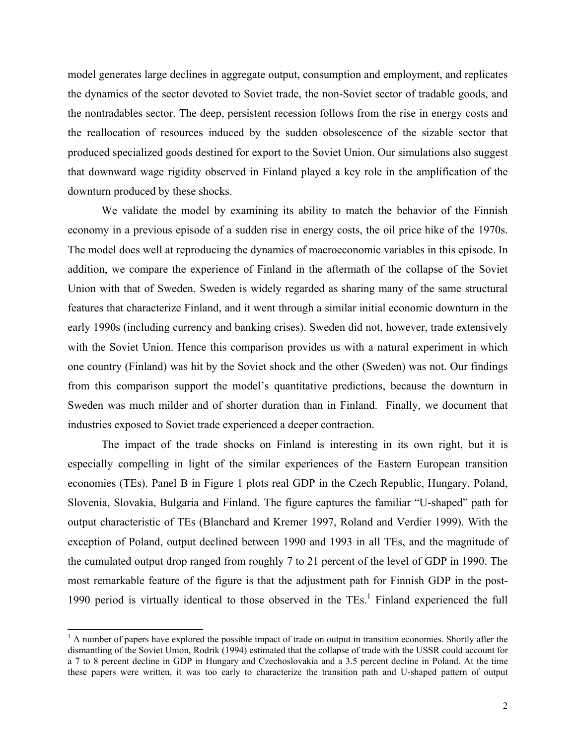model generates large declines in aggregate output, consumption and employment, and replicates the dynamics of the sector devoted to Soviet trade, the non-Soviet sector of tradable goods, and the nontradables sector. The deep, persistent recession follows from the rise in energy costs and the reallocation of resources induced by the sudden obsolescence of the sizable sector that produced specialized goods destined for export to the Soviet Union. Our simulations also suggest that downward wage rigidity observed in Finland played a key role in the amplification of the downturn produced by these shocks.

We validate the model by examining its ability to match the behavior of the Finnish economy in a previous episode of a sudden rise in energy costs, the oil price hike of the 1970s. The model does well at reproducing the dynamics of macroeconomic variables in this episode. In addition, we compare the experience of Finland in the aftermath of the collapse of the Soviet Union with that of Sweden. Sweden is widely regarded as sharing many of the same structural features that characterize Finland, and it went through a similar initial economic downturn in the early 1990s (including currency and banking crises). Sweden did not, however, trade extensively with the Soviet Union. Hence this comparison provides us with a natural experiment in which one country (Finland) was hit by the Soviet shock and the other (Sweden) was not. Our findings from this comparison support the model's quantitative predictions, because the downturn in Sweden was much milder and of shorter duration than in Finland. Finally, we document that industries exposed to Soviet trade experienced a deeper contraction.

The impact of the trade shocks on Finland is interesting in its own right, but it is especially compelling in light of the similar experiences of the Eastern European transition economies (TEs). Panel B in Figure 1 plots real GDP in the Czech Republic, Hungary, Poland, Slovenia, Slovakia, Bulgaria and Finland. The figure captures the familiar "U-shaped" path for output characteristic of TEs (Blanchard and Kremer 1997, Roland and Verdier 1999). With the exception of Poland, output declined between 1990 and 1993 in all TEs, and the magnitude of the cumulated output drop ranged from roughly 7 to 21 percent of the level of GDP in 1990. The most remarkable feature of the figure is that the adjustment path for Finnish GDP in the post-1990 period is virtually identical to those observed in the  $TES<sup>1</sup>$ . Finland experienced the full

 $\overline{a}$ 

 $<sup>1</sup>$  A number of papers have explored the possible impact of trade on output in transition economies. Shortly after the</sup> dismantling of the Soviet Union, Rodrik (1994) estimated that the collapse of trade with the USSR could account for a 7 to 8 percent decline in GDP in Hungary and Czechoslovakia and a 3.5 percent decline in Poland. At the time these papers were written, it was too early to characterize the transition path and U-shaped pattern of output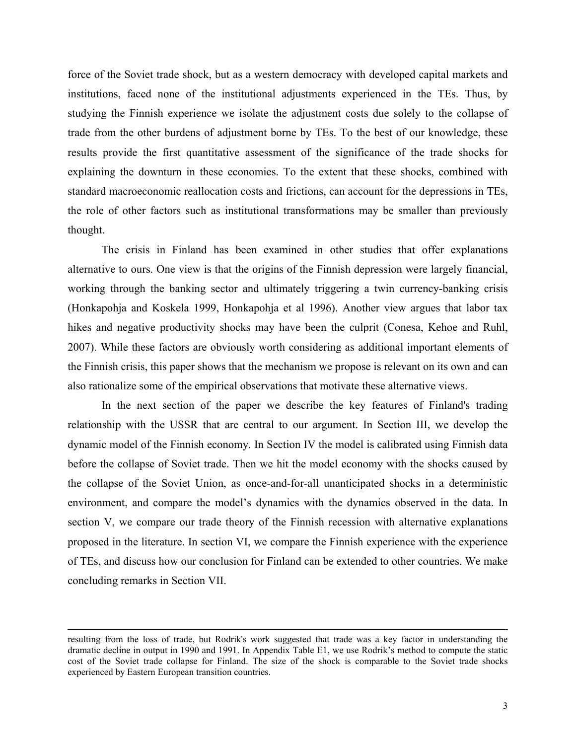force of the Soviet trade shock, but as a western democracy with developed capital markets and institutions, faced none of the institutional adjustments experienced in the TEs. Thus, by studying the Finnish experience we isolate the adjustment costs due solely to the collapse of trade from the other burdens of adjustment borne by TEs. To the best of our knowledge, these results provide the first quantitative assessment of the significance of the trade shocks for explaining the downturn in these economies. To the extent that these shocks, combined with standard macroeconomic reallocation costs and frictions, can account for the depressions in TEs, the role of other factors such as institutional transformations may be smaller than previously thought.

The crisis in Finland has been examined in other studies that offer explanations alternative to ours. One view is that the origins of the Finnish depression were largely financial, working through the banking sector and ultimately triggering a twin currency-banking crisis (Honkapohja and Koskela 1999, Honkapohja et al 1996). Another view argues that labor tax hikes and negative productivity shocks may have been the culprit (Conesa, Kehoe and Ruhl, 2007). While these factors are obviously worth considering as additional important elements of the Finnish crisis, this paper shows that the mechanism we propose is relevant on its own and can also rationalize some of the empirical observations that motivate these alternative views.

In the next section of the paper we describe the key features of Finland's trading relationship with the USSR that are central to our argument. In Section III, we develop the dynamic model of the Finnish economy. In Section IV the model is calibrated using Finnish data before the collapse of Soviet trade. Then we hit the model economy with the shocks caused by the collapse of the Soviet Union, as once-and-for-all unanticipated shocks in a deterministic environment, and compare the model's dynamics with the dynamics observed in the data. In section V, we compare our trade theory of the Finnish recession with alternative explanations proposed in the literature. In section VI, we compare the Finnish experience with the experience of TEs, and discuss how our conclusion for Finland can be extended to other countries. We make concluding remarks in Section VII.

 $\overline{a}$ 

resulting from the loss of trade, but Rodrik's work suggested that trade was a key factor in understanding the dramatic decline in output in 1990 and 1991. In Appendix Table E1, we use Rodrik's method to compute the static cost of the Soviet trade collapse for Finland. The size of the shock is comparable to the Soviet trade shocks experienced by Eastern European transition countries.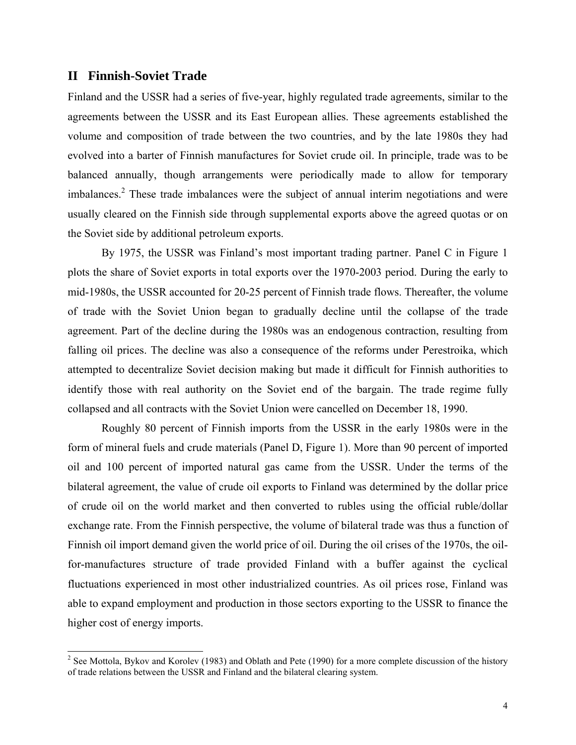#### **II Finnish-Soviet Trade**

 $\overline{a}$ 

Finland and the USSR had a series of five-year, highly regulated trade agreements, similar to the agreements between the USSR and its East European allies. These agreements established the volume and composition of trade between the two countries, and by the late 1980s they had evolved into a barter of Finnish manufactures for Soviet crude oil. In principle, trade was to be balanced annually, though arrangements were periodically made to allow for temporary imbalances.<sup>2</sup> These trade imbalances were the subject of annual interim negotiations and were usually cleared on the Finnish side through supplemental exports above the agreed quotas or on the Soviet side by additional petroleum exports.

By 1975, the USSR was Finland's most important trading partner. Panel C in Figure 1 plots the share of Soviet exports in total exports over the 1970-2003 period. During the early to mid-1980s, the USSR accounted for 20-25 percent of Finnish trade flows. Thereafter, the volume of trade with the Soviet Union began to gradually decline until the collapse of the trade agreement. Part of the decline during the 1980s was an endogenous contraction, resulting from falling oil prices. The decline was also a consequence of the reforms under Perestroika, which attempted to decentralize Soviet decision making but made it difficult for Finnish authorities to identify those with real authority on the Soviet end of the bargain. The trade regime fully collapsed and all contracts with the Soviet Union were cancelled on December 18, 1990.

Roughly 80 percent of Finnish imports from the USSR in the early 1980s were in the form of mineral fuels and crude materials (Panel D, Figure 1). More than 90 percent of imported oil and 100 percent of imported natural gas came from the USSR. Under the terms of the bilateral agreement, the value of crude oil exports to Finland was determined by the dollar price of crude oil on the world market and then converted to rubles using the official ruble/dollar exchange rate. From the Finnish perspective, the volume of bilateral trade was thus a function of Finnish oil import demand given the world price of oil. During the oil crises of the 1970s, the oilfor-manufactures structure of trade provided Finland with a buffer against the cyclical fluctuations experienced in most other industrialized countries. As oil prices rose, Finland was able to expand employment and production in those sectors exporting to the USSR to finance the higher cost of energy imports.

<sup>&</sup>lt;sup>2</sup> See Mottola, Bykov and Korolev (1983) and Oblath and Pete (1990) for a more complete discussion of the history of trade relations between the USSR and Finland and the bilateral clearing system.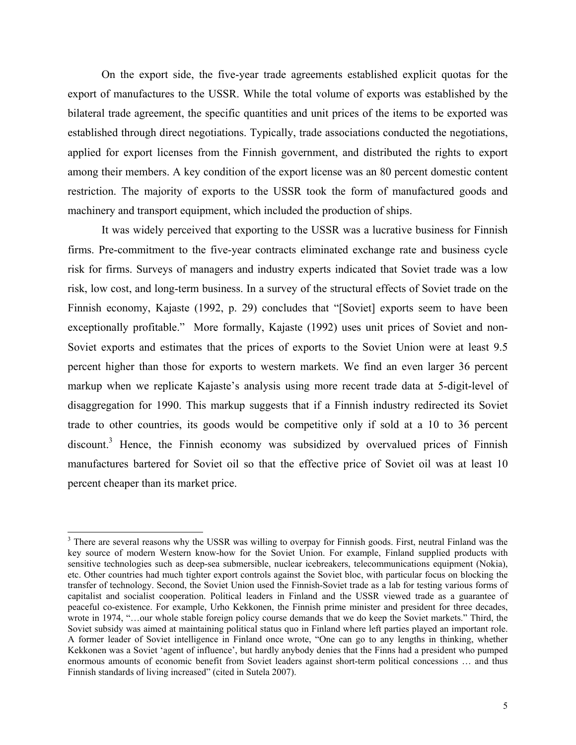On the export side, the five-year trade agreements established explicit quotas for the export of manufactures to the USSR. While the total volume of exports was established by the bilateral trade agreement, the specific quantities and unit prices of the items to be exported was established through direct negotiations. Typically, trade associations conducted the negotiations, applied for export licenses from the Finnish government, and distributed the rights to export among their members. A key condition of the export license was an 80 percent domestic content restriction. The majority of exports to the USSR took the form of manufactured goods and machinery and transport equipment, which included the production of ships.

It was widely perceived that exporting to the USSR was a lucrative business for Finnish firms. Pre-commitment to the five-year contracts eliminated exchange rate and business cycle risk for firms. Surveys of managers and industry experts indicated that Soviet trade was a low risk, low cost, and long-term business. In a survey of the structural effects of Soviet trade on the Finnish economy, Kajaste (1992, p. 29) concludes that "[Soviet] exports seem to have been exceptionally profitable." More formally, Kajaste (1992) uses unit prices of Soviet and non-Soviet exports and estimates that the prices of exports to the Soviet Union were at least 9.5 percent higher than those for exports to western markets. We find an even larger 36 percent markup when we replicate Kajaste's analysis using more recent trade data at 5-digit-level of disaggregation for 1990. This markup suggests that if a Finnish industry redirected its Soviet trade to other countries, its goods would be competitive only if sold at a 10 to 36 percent discount.<sup>3</sup> Hence, the Finnish economy was subsidized by overvalued prices of Finnish manufactures bartered for Soviet oil so that the effective price of Soviet oil was at least 10 percent cheaper than its market price.

 $\overline{a}$ 

<sup>&</sup>lt;sup>3</sup> There are several reasons why the USSR was willing to overpay for Finnish goods. First, neutral Finland was the key source of modern Western know-how for the Soviet Union. For example, Finland supplied products with sensitive technologies such as deep-sea submersible, nuclear icebreakers, telecommunications equipment (Nokia), etc. Other countries had much tighter export controls against the Soviet bloc, with particular focus on blocking the transfer of technology. Second, the Soviet Union used the Finnish-Soviet trade as a lab for testing various forms of capitalist and socialist cooperation. Political leaders in Finland and the USSR viewed trade as a guarantee of peaceful co-existence. For example, Urho Kekkonen, the Finnish prime minister and president for three decades, wrote in 1974, "…our whole stable foreign policy course demands that we do keep the Soviet markets." Third, the Soviet subsidy was aimed at maintaining political status quo in Finland where left parties played an important role. A former leader of Soviet intelligence in Finland once wrote, "One can go to any lengths in thinking, whether Kekkonen was a Soviet 'agent of influence', but hardly anybody denies that the Finns had a president who pumped enormous amounts of economic benefit from Soviet leaders against short-term political concessions … and thus Finnish standards of living increased" (cited in Sutela 2007).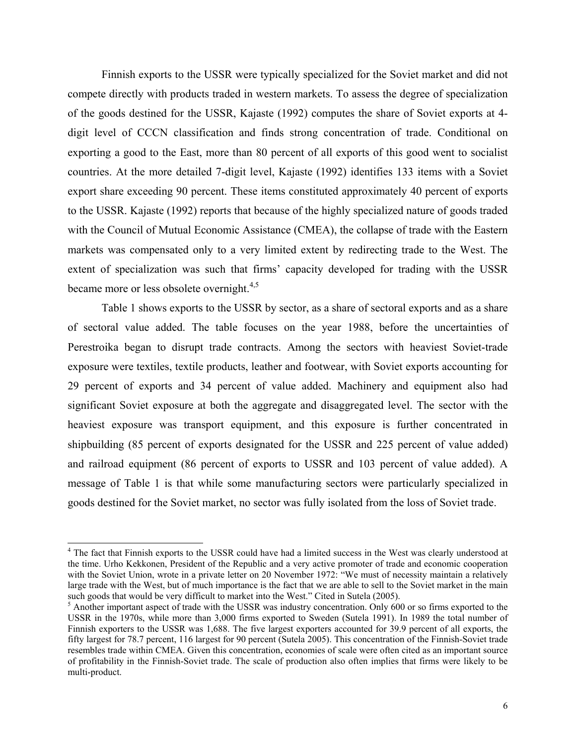Finnish exports to the USSR were typically specialized for the Soviet market and did not compete directly with products traded in western markets. To assess the degree of specialization of the goods destined for the USSR, Kajaste (1992) computes the share of Soviet exports at 4 digit level of CCCN classification and finds strong concentration of trade. Conditional on exporting a good to the East, more than 80 percent of all exports of this good went to socialist countries. At the more detailed 7-digit level, Kajaste (1992) identifies 133 items with a Soviet export share exceeding 90 percent. These items constituted approximately 40 percent of exports to the USSR. Kajaste (1992) reports that because of the highly specialized nature of goods traded with the Council of Mutual Economic Assistance (CMEA), the collapse of trade with the Eastern markets was compensated only to a very limited extent by redirecting trade to the West. The extent of specialization was such that firms' capacity developed for trading with the USSR became more or less obsolete overnight.<sup>4,5</sup>

Table 1 shows exports to the USSR by sector, as a share of sectoral exports and as a share of sectoral value added. The table focuses on the year 1988, before the uncertainties of Perestroika began to disrupt trade contracts. Among the sectors with heaviest Soviet-trade exposure were textiles, textile products, leather and footwear, with Soviet exports accounting for 29 percent of exports and 34 percent of value added. Machinery and equipment also had significant Soviet exposure at both the aggregate and disaggregated level. The sector with the heaviest exposure was transport equipment, and this exposure is further concentrated in shipbuilding (85 percent of exports designated for the USSR and 225 percent of value added) and railroad equipment (86 percent of exports to USSR and 103 percent of value added). A message of Table 1 is that while some manufacturing sectors were particularly specialized in goods destined for the Soviet market, no sector was fully isolated from the loss of Soviet trade.

 $\overline{a}$ 

<sup>&</sup>lt;sup>4</sup> The fact that Finnish exports to the USSR could have had a limited success in the West was clearly understood at the time. Urho Kekkonen, President of the Republic and a very active promoter of trade and economic cooperation with the Soviet Union, wrote in a private letter on 20 November 1972: "We must of necessity maintain a relatively large trade with the West, but of much importance is the fact that we are able to sell to the Soviet market in the main such goods that would be very difficult to market into the West." Cited in Sutela (2005).

<sup>&</sup>lt;sup>5</sup> Another important aspect of trade with the USSR was industry concentration. Only 600 or so firms exported to the USSR in the 1970s, while more than 3,000 firms exported to Sweden (Sutela 1991). In 1989 the total number of Finnish exporters to the USSR was 1,688. The five largest exporters accounted for 39.9 percent of all exports, the fifty largest for 78.7 percent, 116 largest for 90 percent (Sutela 2005). This concentration of the Finnish-Soviet trade resembles trade within CMEA. Given this concentration, economies of scale were often cited as an important source of profitability in the Finnish-Soviet trade. The scale of production also often implies that firms were likely to be multi-product.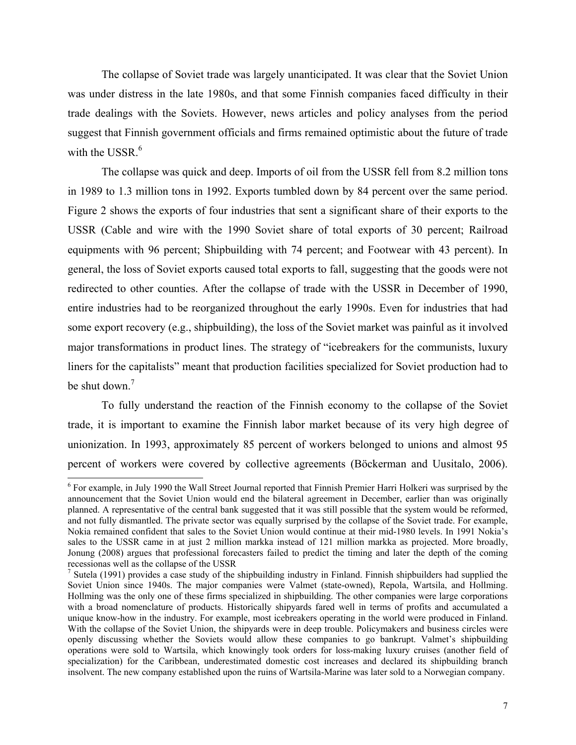The collapse of Soviet trade was largely unanticipated. It was clear that the Soviet Union was under distress in the late 1980s, and that some Finnish companies faced difficulty in their trade dealings with the Soviets. However, news articles and policy analyses from the period suggest that Finnish government officials and firms remained optimistic about the future of trade with the USSR.<sup>6</sup>

The collapse was quick and deep. Imports of oil from the USSR fell from 8.2 million tons in 1989 to 1.3 million tons in 1992. Exports tumbled down by 84 percent over the same period. Figure 2 shows the exports of four industries that sent a significant share of their exports to the USSR (Cable and wire with the 1990 Soviet share of total exports of 30 percent; Railroad equipments with 96 percent; Shipbuilding with 74 percent; and Footwear with 43 percent). In general, the loss of Soviet exports caused total exports to fall, suggesting that the goods were not redirected to other counties. After the collapse of trade with the USSR in December of 1990, entire industries had to be reorganized throughout the early 1990s. Even for industries that had some export recovery (e.g., shipbuilding), the loss of the Soviet market was painful as it involved major transformations in product lines. The strategy of "icebreakers for the communists, luxury liners for the capitalists" meant that production facilities specialized for Soviet production had to be shut down. $<sup>7</sup>$ </sup>

To fully understand the reaction of the Finnish economy to the collapse of the Soviet trade, it is important to examine the Finnish labor market because of its very high degree of unionization. In 1993, approximately 85 percent of workers belonged to unions and almost 95 percent of workers were covered by collective agreements (Böckerman and Uusitalo, 2006).

<sup>&</sup>lt;sup>6</sup> For example, in July 1990 the Wall Street Journal reported that Finnish Premier Harri Holkeri was surprised by the announcement that the Soviet Union would end the bilateral agreement in December, earlier than was originally planned. A representative of the central bank suggested that it was still possible that the system would be reformed, and not fully dismantled. The private sector was equally surprised by the collapse of the Soviet trade. For example, Nokia remained confident that sales to the Soviet Union would continue at their mid-1980 levels. In 1991 Nokia's sales to the USSR came in at just 2 million markka instead of 121 million markka as projected. More broadly, Jonung (2008) argues that professional forecasters failed to predict the timing and later the depth of the coming recessionas well as the collapse of the USSR

<sup>&</sup>lt;sup>7</sup> Sutela (1991) provides a case study of the shipbuilding industry in Finland. Finnish shipbuilders had supplied the Soviet Union since 1940s. The major companies were Valmet (state-owned), Repola, Wartsila, and Hollming. Hollming was the only one of these firms specialized in shipbuilding. The other companies were large corporations with a broad nomenclature of products. Historically shipyards fared well in terms of profits and accumulated a unique know-how in the industry. For example, most icebreakers operating in the world were produced in Finland. With the collapse of the Soviet Union, the shipyards were in deep trouble. Policymakers and business circles were openly discussing whether the Soviets would allow these companies to go bankrupt. Valmet's shipbuilding operations were sold to Wartsila, which knowingly took orders for loss-making luxury cruises (another field of specialization) for the Caribbean, underestimated domestic cost increases and declared its shipbuilding branch insolvent. The new company established upon the ruins of Wartsila-Marine was later sold to a Norwegian company.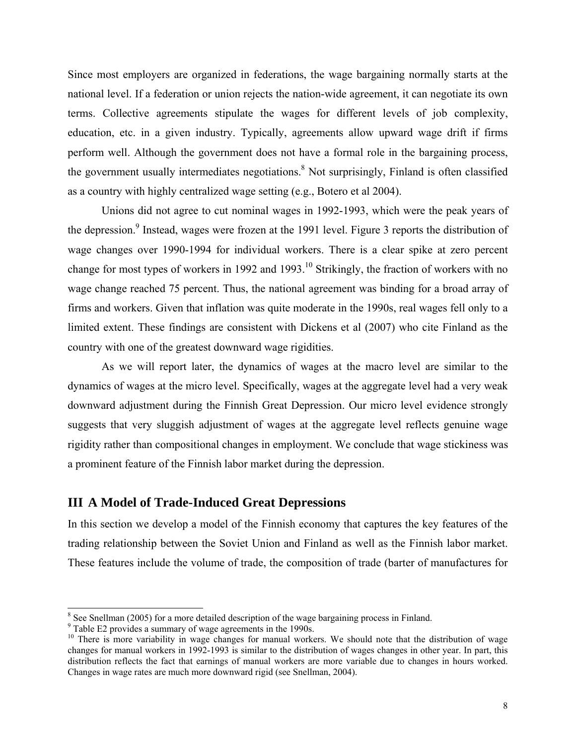Since most employers are organized in federations, the wage bargaining normally starts at the national level. If a federation or union rejects the nation-wide agreement, it can negotiate its own terms. Collective agreements stipulate the wages for different levels of job complexity, education, etc. in a given industry. Typically, agreements allow upward wage drift if firms perform well. Although the government does not have a formal role in the bargaining process, the government usually intermediates negotiations.<sup>8</sup> Not surprisingly, Finland is often classified as a country with highly centralized wage setting (e.g., Botero et al 2004).

Unions did not agree to cut nominal wages in 1992-1993, which were the peak years of the depression.<sup>9</sup> Instead, wages were frozen at the 1991 level. Figure 3 reports the distribution of wage changes over 1990-1994 for individual workers. There is a clear spike at zero percent change for most types of workers in 1992 and 1993.<sup>10</sup> Strikingly, the fraction of workers with no wage change reached 75 percent. Thus, the national agreement was binding for a broad array of firms and workers. Given that inflation was quite moderate in the 1990s, real wages fell only to a limited extent. These findings are consistent with Dickens et al (2007) who cite Finland as the country with one of the greatest downward wage rigidities.

As we will report later, the dynamics of wages at the macro level are similar to the dynamics of wages at the micro level. Specifically, wages at the aggregate level had a very weak downward adjustment during the Finnish Great Depression. Our micro level evidence strongly suggests that very sluggish adjustment of wages at the aggregate level reflects genuine wage rigidity rather than compositional changes in employment. We conclude that wage stickiness was a prominent feature of the Finnish labor market during the depression.

## **III A Model of Trade-Induced Great Depressions**

In this section we develop a model of the Finnish economy that captures the key features of the trading relationship between the Soviet Union and Finland as well as the Finnish labor market. These features include the volume of trade, the composition of trade (barter of manufactures for

<sup>&</sup>lt;sup>8</sup> See Snellman (2005) for a more detailed description of the wage bargaining process in Finland.

<sup>&</sup>lt;sup>9</sup> Table E2 provides a summary of wage agreements in the 1990s.

<sup>&</sup>lt;sup>10</sup> There is more variability in wage changes for manual workers. We should note that the distribution of wage changes for manual workers in 1992-1993 is similar to the distribution of wages changes in other year. In part, this distribution reflects the fact that earnings of manual workers are more variable due to changes in hours worked. Changes in wage rates are much more downward rigid (see Snellman, 2004).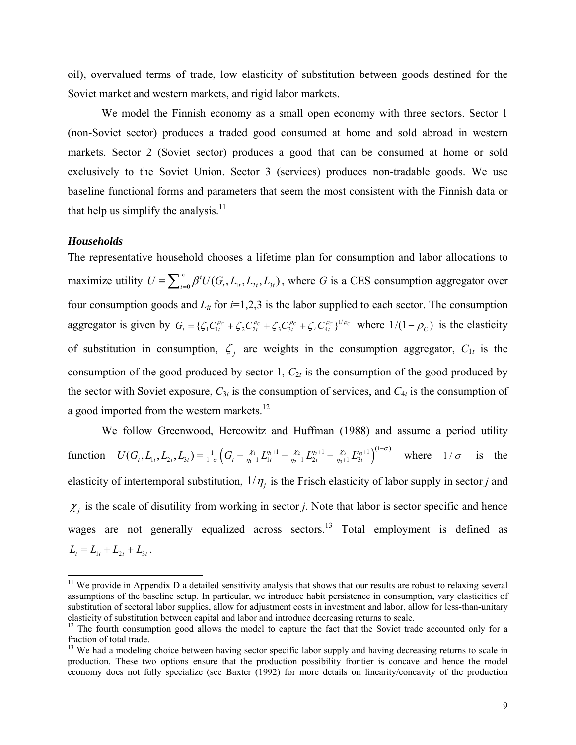oil), overvalued terms of trade, low elasticity of substitution between goods destined for the Soviet market and western markets, and rigid labor markets.

We model the Finnish economy as a small open economy with three sectors. Sector 1 (non-Soviet sector) produces a traded good consumed at home and sold abroad in western markets. Sector 2 (Soviet sector) produces a good that can be consumed at home or sold exclusively to the Soviet Union. Sector 3 (services) produces non-tradable goods. We use baseline functional forms and parameters that seem the most consistent with the Finnish data or that help us simplify the analysis. $11$ 

#### *Households*

l

The representative household chooses a lifetime plan for consumption and labor allocations to maximize utility  $U = \sum_{t=0}^{\infty} \beta^t U(G_t, L_t, L_{2t}, L_{3t})$ , where *G* is a CES consumption aggregator over four consumption goods and  $L<sub>it</sub>$  for  $i=1,2,3$  is the labor supplied to each sector. The consumption aggregator is given by  $G_t = \{ \zeta_1 C_{1t}^{\rho_C} + \zeta_2 C_{2t}^{\rho_C} + \zeta_3 C_{3t}^{\rho_C} + \zeta_4 C_{4t}^{\rho_C} \}^{1/\rho_C}$  where  $1/(1-\rho_C)$  is the elasticity of substitution in consumption,  $\zeta_i$  are weights in the consumption aggregator,  $C_{1t}$  is the consumption of the good produced by sector 1,  $C_{2t}$  is the consumption of the good produced by the sector with Soviet exposure,  $C_{3t}$  is the consumption of services, and  $C_{4t}$  is the consumption of a good imported from the western markets.<sup>12</sup>

We follow Greenwood, Hercowitz and Huffman (1988) and assume a period utility function  $U(G_t, L_{1t}, L_{2t}, L_{3t}) = \frac{1}{1-\sigma} \Big( G_t - \frac{\chi_1}{\eta_1+1} L_{1t}^{\eta_1+1} - \frac{\chi_2}{\eta_2+1} L_{2t}^{\eta_2+1} - \frac{\chi_3}{\eta_3+1} L_{3t}^{\eta_3+1} \Big)$  $U(G_t, L_1, L_2, L_3) = \frac{1}{1-\sigma} \Big(G_t - \frac{\chi_1}{\eta_1+1} L_{1t}^{\eta_1+1} - \frac{\chi_2}{\eta_2+1} L_{2t}^{\eta_2+1} - \frac{\chi_3}{\eta_3+1} L_{3t}^{\eta_3+1}\Big)^{(1-\sigma)}$  $=\frac{1}{1-\sigma}\Big(G_t-\frac{\chi_1}{\eta_1+1}L_{1t}^{\eta_1+1}-\frac{\chi_2}{\eta_2+1}L_{2t}^{\eta_2+1}-\frac{\chi_3}{\eta_1+1}L_{3t}^{\eta_3+1}\Big)^{(1-\sigma)}$  where  $1/\sigma$  is the elasticity of intertemporal substitution,  $1/\eta_i$  is the Frisch elasticity of labor supply in sector *j* and  $\chi_i$  is the scale of disutility from working in sector *j*. Note that labor is sector specific and hence wages are not generally equalized across sectors.<sup>13</sup> Total employment is defined as  $L_t = L_{1t} + L_{2t} + L_{3t}$ .

 $11$  We provide in Appendix D a detailed sensitivity analysis that shows that our results are robust to relaxing several assumptions of the baseline setup. In particular, we introduce habit persistence in consumption, vary elasticities of substitution of sectoral labor supplies, allow for adjustment costs in investment and labor, allow for less-than-unitary elasticity of substitution between capital and labor and introduce decreasing returns to scale.<br><sup>12</sup> The fourth consumption good allows the model to capture the fact that the Soviet trade accounted only for a

fraction of total trade.

<sup>&</sup>lt;sup>13</sup> We had a modeling choice between having sector specific labor supply and having decreasing returns to scale in production. These two options ensure that the production possibility frontier is concave and hence the model economy does not fully specialize (see Baxter (1992) for more details on linearity/concavity of the production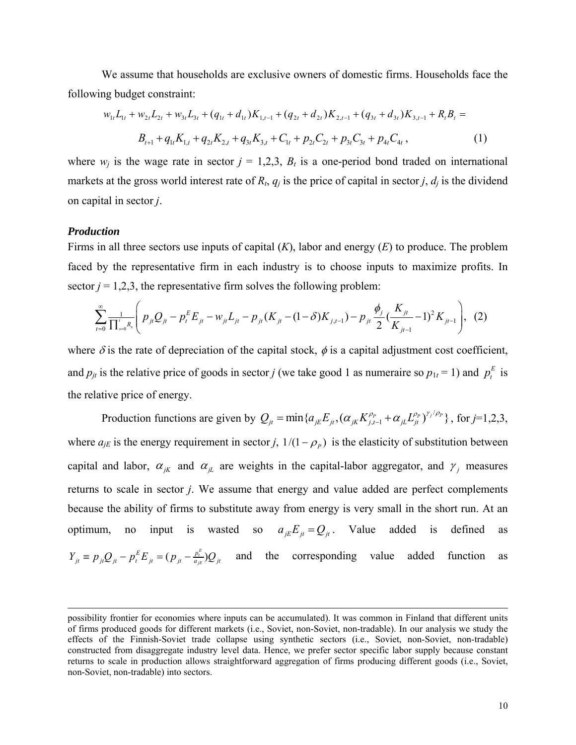We assume that households are exclusive owners of domestic firms. Households face the following budget constraint:

$$
w_{1t}L_{1t} + w_{2t}L_{2t} + w_{3t}L_{3t} + (q_{1t} + d_{1t})K_{1,t-1} + (q_{2t} + d_{2t})K_{2,t-1} + (q_{3t} + d_{3t})K_{3,t-1} + R_{t}B_{t} =
$$
  

$$
B_{t+1} + q_{1t}K_{1,t} + q_{2t}K_{2,t} + q_{3t}K_{3,t} + C_{1t} + p_{2t}C_{2t} + p_{3t}C_{3t} + p_{4t}C_{4t},
$$
 (1)

where  $w_i$  is the wage rate in sector  $j = 1,2,3, B_t$  is a one-period bond traded on international markets at the gross world interest rate of  $R_t$ ,  $q_i$  is the price of capital in sector *j*,  $d_i$  is the dividend on capital in sector *j*.

#### *Production*

l

Firms in all three sectors use inputs of capital (*K*), labor and energy (*E*) to produce. The problem faced by the representative firm in each industry is to choose inputs to maximize profits. In sector  $j = 1,2,3$ , the representative firm solves the following problem:

$$
\sum_{t=0}^{\infty} \frac{1}{\prod_{s=0}^{t} R_s} \left( p_{jt} Q_{jt} - p_t^E E_{jt} - w_{jt} L_{jt} - p_{jt} (K_{jt} - (1 - \delta) K_{j,t-1}) - p_{jt} \frac{\phi_j}{2} (\frac{K_{jt}}{K_{jt-1}} - 1)^2 K_{jt-1} \right), (2)
$$

where  $\delta$  is the rate of depreciation of the capital stock,  $\phi$  is a capital adjustment cost coefficient, and  $p_{jt}$  is the relative price of goods in sector *j* (we take good 1 as numeraire so  $p_{1t} = 1$ ) and  $p_t^E$  is the relative price of energy.

Production functions are given by  $Q_{ji} = \min\{a_{jE}E_{ji}, (\alpha_{jk}K_{j,t-1}^{\rho_p} + \alpha_{jl}L_{ji}^{\rho_p})^{\gamma_j/\rho_p}\}\$ , for  $j=1,2,3$ , where  $a_{jE}$  is the energy requirement in sector *j*,  $1/(1 - \rho_p)$  is the elasticity of substitution between capital and labor,  $\alpha_{jk}$  and  $\alpha_{jl}$  are weights in the capital-labor aggregator, and  $\gamma_j$  measures returns to scale in sector *j*. We assume that energy and value added are perfect complements because the ability of firms to substitute away from energy is very small in the short run. At an optimum, no input is wasted so  $a_{iE}E_{it} = Q_{it}$ . Value added is defined as  $(p_{it} - \frac{p_t^E}{q_{it}})$  $Y_{jt} = p_{jt}Q_{jt} - p_t^E E_{jt} = (p_{jt} - \frac{p_t^E}{a_{jt}})Q_{jt}$  and the corresponding value added function as

possibility frontier for economies where inputs can be accumulated). It was common in Finland that different units of firms produced goods for different markets (i.e., Soviet, non-Soviet, non-tradable). In our analysis we study the effects of the Finnish-Soviet trade collapse using synthetic sectors (i.e., Soviet, non-Soviet, non-tradable) constructed from disaggregate industry level data. Hence, we prefer sector specific labor supply because constant returns to scale in production allows straightforward aggregation of firms producing different goods (i.e., Soviet, non-Soviet, non-tradable) into sectors.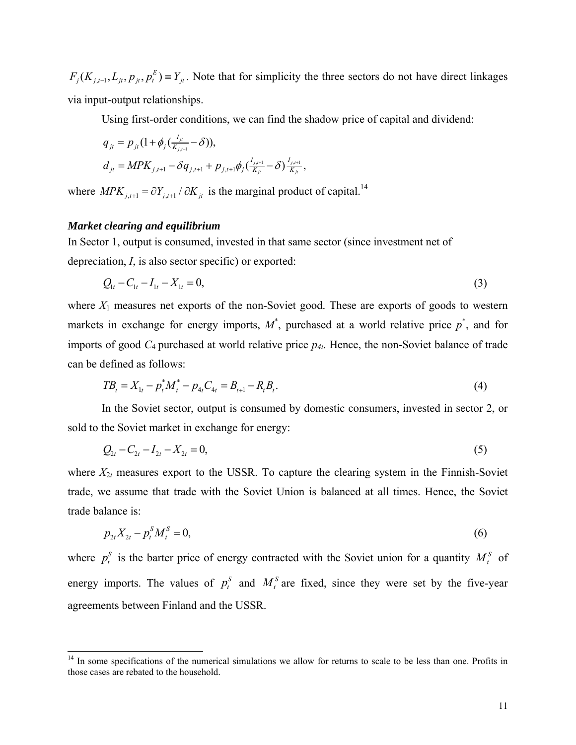$F_j(K_{j,t-1}, L_{jt}, p_{jt}, p_t^E) \equiv Y_{jt}$ . Note that for simplicity the three sectors do not have direct linkages via input-output relationships.

Using first-order conditions, we can find the shadow price of capital and dividend:

$$
q_{jt} = p_{jt} (1 + \phi_j \left( \frac{I_{jt}}{K_{j,t-1}} - \delta \right)),
$$
  
\n
$$
d_{jt} = MPK_{j,t+1} - \delta q_{j,t+1} + p_{j,t+1} \phi_j \left( \frac{I_{j,t+1}}{K_{jt}} - \delta \right) \frac{I_{j,t+1}}{K_{jt}},
$$

where  $MPK_{j,t+1} = \partial Y_{j,t+1} / \partial K_{jt}$  is the marginal product of capital.<sup>14</sup>

#### *Market clearing and equilibrium*

 $\overline{a}$ 

In Sector 1, output is consumed, invested in that same sector (since investment net of depreciation, *I*, is also sector specific) or exported:

$$
Q_{1t} - C_{1t} - I_{1t} - X_{1t} = 0,\t\t(3)
$$

where  $X_1$  measures net exports of the non-Soviet good. These are exports of goods to western markets in exchange for energy imports,  $M^*$ , purchased at a world relative price  $p^*$ , and for imports of good *C*4 purchased at world relative price *p4t*. Hence, the non-Soviet balance of trade can be defined as follows:

$$
TB_t = X_{1t} - p_t^* M_t^* - p_{4t} C_{4t} = B_{t+1} - R_t B_t.
$$
\n<sup>(4)</sup>

In the Soviet sector, output is consumed by domestic consumers, invested in sector 2, or sold to the Soviet market in exchange for energy:

$$
Q_{2t} - C_{2t} - I_{2t} - X_{2t} = 0,\tag{5}
$$

where  $X_{2t}$  measures export to the USSR. To capture the clearing system in the Finnish-Soviet trade, we assume that trade with the Soviet Union is balanced at all times. Hence, the Soviet trade balance is:

$$
p_{2t}X_{2t} - p_t^s M_t^s = 0,\t\t(6)
$$

where  $p_t^s$  is the barter price of energy contracted with the Soviet union for a quantity  $M_t^s$  of energy imports. The values of  $p_t^S$  and  $M_t^S$  are fixed, since they were set by the five-year agreements between Finland and the USSR.

<sup>&</sup>lt;sup>14</sup> In some specifications of the numerical simulations we allow for returns to scale to be less than one. Profits in those cases are rebated to the household.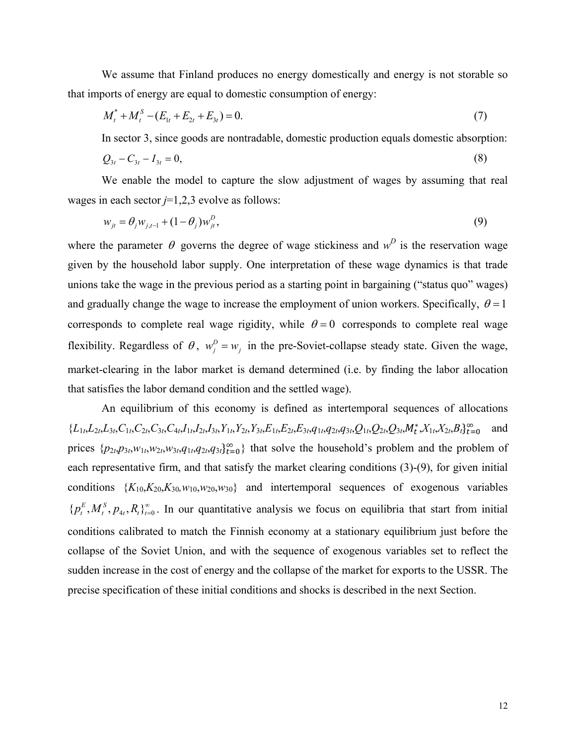We assume that Finland produces no energy domestically and energy is not storable so that imports of energy are equal to domestic consumption of energy:

$$
M_t^* + M_t^S - (E_{1t} + E_{2t} + E_{3t}) = 0.
$$
\n<sup>(7)</sup>

In sector 3, since goods are nontradable, domestic production equals domestic absorption:

$$
Q_{3t} - C_{3t} - I_{3t} = 0,\t\t(8)
$$

We enable the model to capture the slow adjustment of wages by assuming that real wages in each sector *j*=1,2,3 evolve as follows:

$$
w_{jt} = \theta_j w_{j,t-1} + (1 - \theta_j) w_{jt}^D,
$$
\n(9)

where the parameter  $\theta$  governs the degree of wage stickiness and  $w^D$  is the reservation wage given by the household labor supply. One interpretation of these wage dynamics is that trade unions take the wage in the previous period as a starting point in bargaining ("status quo" wages) and gradually change the wage to increase the employment of union workers. Specifically,  $\theta = 1$ corresponds to complete real wage rigidity, while  $\theta = 0$  corresponds to complete real wage flexibility. Regardless of  $\theta$ ,  $w_j^D = w_j$  in the pre-Soviet-collapse steady state. Given the wage, market-clearing in the labor market is demand determined (i.e. by finding the labor allocation that satisfies the labor demand condition and the settled wage).

 An equilibrium of this economy is defined as intertemporal sequences of allocations  ${L_{1t},L_{2t},L_{3t},C_{1t},C_{2t},C_{3t},C_{4t},I_{1t},I_{2t},I_{3t},Y_{1t},Y_{2t},Y_{3t},E_{1t},E_{2t},E_{3t},q_{1t},q_{2t},q_{3t},Q_{1t},Q_{2t},Q_{3t},M_{t}^{*},X_{1t},X_{2t},B_{t}\}_{t=0}^{\infty}$  and prices  $\{p_{2t}, p_{3t}, w_{1t}, w_{2t}, w_{3t}, q_{1t}, q_{2t}, q_{3t}\}_{t=0}^{\infty}$  that solve the household's problem and the problem of each representative firm, and that satisfy the market clearing conditions (3)-(9), for given initial conditions  $\{K_{10}, K_{20}, K_{30}, w_{10}, w_{20}, w_{30}\}$  and intertemporal sequences of exogenous variables  $\{p_t^E, M_t^S, p_{4t}, R_t\}_{t=0}^{\infty}$ . In our quantitative analysis we focus on equilibria that start from initial conditions calibrated to match the Finnish economy at a stationary equilibrium just before the collapse of the Soviet Union, and with the sequence of exogenous variables set to reflect the sudden increase in the cost of energy and the collapse of the market for exports to the USSR. The precise specification of these initial conditions and shocks is described in the next Section.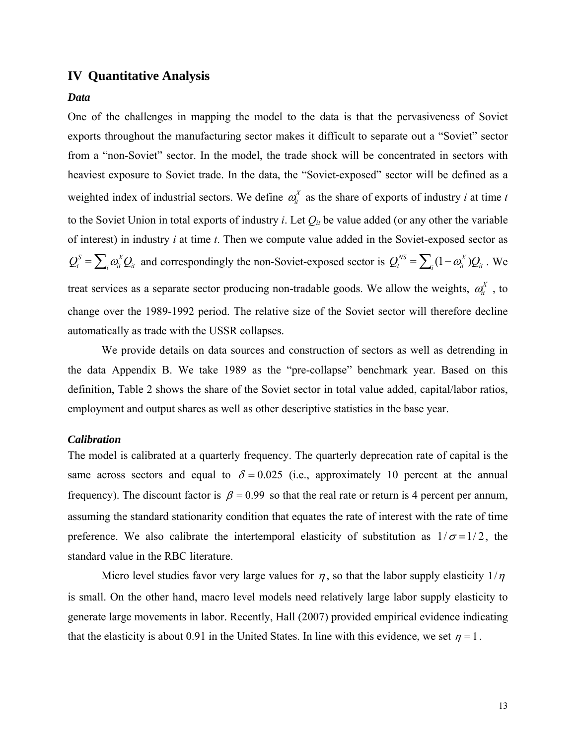## **IV Quantitative Analysis**

#### *Data*

One of the challenges in mapping the model to the data is that the pervasiveness of Soviet exports throughout the manufacturing sector makes it difficult to separate out a "Soviet" sector from a "non-Soviet" sector. In the model, the trade shock will be concentrated in sectors with heaviest exposure to Soviet trade. In the data, the "Soviet-exposed" sector will be defined as a weighted index of industrial sectors. We define  $\omega_i^X$  as the share of exports of industry *i* at time *t* to the Soviet Union in total exports of industry *i*. Let  $Q_{it}$  be value added (or any other the variable of interest) in industry *i* at time *t*. Then we compute value added in the Soviet-exposed sector as  $Q_t^S = \sum_i \omega_{it}^X Q_{it}$  and correspondingly the non-Soviet-exposed sector is  $Q_t^{NS} = \sum_i (1 - \omega_{it}^X) Q_{it}$ . We treat services as a separate sector producing non-tradable goods. We allow the weights,  $\omega_n^X$ , to change over the 1989-1992 period. The relative size of the Soviet sector will therefore decline automatically as trade with the USSR collapses.

We provide details on data sources and construction of sectors as well as detrending in the data Appendix B. We take 1989 as the "pre-collapse" benchmark year. Based on this definition, Table 2 shows the share of the Soviet sector in total value added, capital/labor ratios, employment and output shares as well as other descriptive statistics in the base year.

#### *Calibration*

The model is calibrated at a quarterly frequency. The quarterly deprecation rate of capital is the same across sectors and equal to  $\delta = 0.025$  (i.e., approximately 10 percent at the annual frequency). The discount factor is  $\beta = 0.99$  so that the real rate or return is 4 percent per annum, assuming the standard stationarity condition that equates the rate of interest with the rate of time preference. We also calibrate the intertemporal elasticity of substitution as  $1/\sigma = 1/2$ , the standard value in the RBC literature.

Micro level studies favor very large values for  $\eta$ , so that the labor supply elasticity  $1/\eta$ is small. On the other hand, macro level models need relatively large labor supply elasticity to generate large movements in labor. Recently, Hall (2007) provided empirical evidence indicating that the elasticity is about 0.91 in the United States. In line with this evidence, we set  $\eta = 1$ .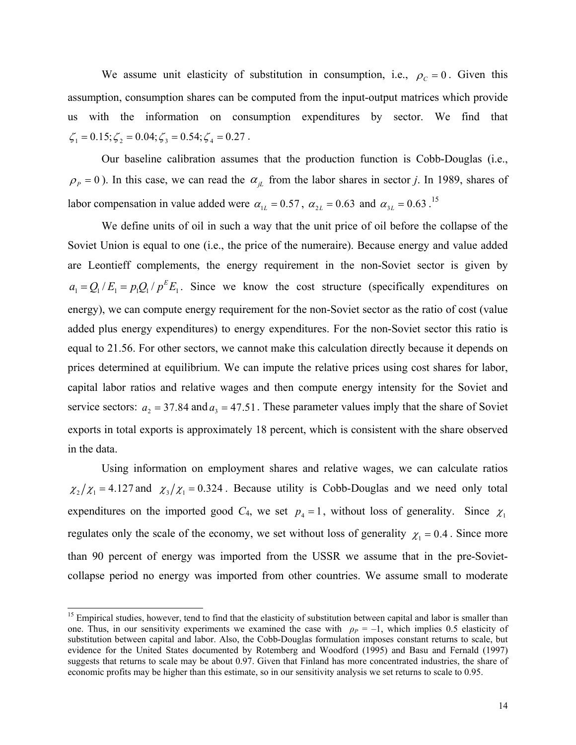We assume unit elasticity of substitution in consumption, i.e.,  $\rho_c = 0$ . Given this assumption, consumption shares can be computed from the input-output matrices which provide us with the information on consumption expenditures by sector. We find that  $\zeta_1 = 0.15; \zeta_2 = 0.04; \zeta_3 = 0.54; \zeta_4 = 0.27$ .

Our baseline calibration assumes that the production function is Cobb-Douglas (i.e.,  $\rho_p = 0$ ). In this case, we can read the  $\alpha_{iL}$  from the labor shares in sector *j*. In 1989, shares of labor compensation in value added were  $\alpha_{\text{L}} = 0.57$ ,  $\alpha_{\text{2L}} = 0.63$  and  $\alpha_{\text{3L}} = 0.63$ .<sup>15</sup>

We define units of oil in such a way that the unit price of oil before the collapse of the Soviet Union is equal to one (i.e., the price of the numeraire). Because energy and value added are Leontieff complements, the energy requirement in the non-Soviet sector is given by  $a_1 = Q_1 / E_1 = p_1 Q_1 / p^E E_1$ . Since we know the cost structure (specifically expenditures on energy), we can compute energy requirement for the non-Soviet sector as the ratio of cost (value added plus energy expenditures) to energy expenditures. For the non-Soviet sector this ratio is equal to 21.56. For other sectors, we cannot make this calculation directly because it depends on prices determined at equilibrium. We can impute the relative prices using cost shares for labor, capital labor ratios and relative wages and then compute energy intensity for the Soviet and service sectors:  $a_2 = 37.84$  and  $a_3 = 47.51$ . These parameter values imply that the share of Soviet exports in total exports is approximately 18 percent, which is consistent with the share observed in the data.

Using information on employment shares and relative wages, we can calculate ratios  $\chi_2/\chi_1 = 4.127$  and  $\chi_3/\chi_1 = 0.324$ . Because utility is Cobb-Douglas and we need only total expenditures on the imported good  $C_4$ , we set  $p_4 = 1$ , without loss of generality. Since  $\chi_1$ regulates only the scale of the economy, we set without loss of generality  $\chi_1 = 0.4$ . Since more than 90 percent of energy was imported from the USSR we assume that in the pre-Sovietcollapse period no energy was imported from other countries. We assume small to moderate

l

<sup>&</sup>lt;sup>15</sup> Empirical studies, however, tend to find that the elasticity of substitution between capital and labor is smaller than one. Thus, in our sensitivity experiments we examined the case with  $\rho_P = -1$ , which implies 0.5 elasticity of substitution between capital and labor. Also, the Cobb-Douglas formulation imposes constant returns to scale, but evidence for the United States documented by Rotemberg and Woodford (1995) and Basu and Fernald (1997) suggests that returns to scale may be about 0.97. Given that Finland has more concentrated industries, the share of economic profits may be higher than this estimate, so in our sensitivity analysis we set returns to scale to 0.95.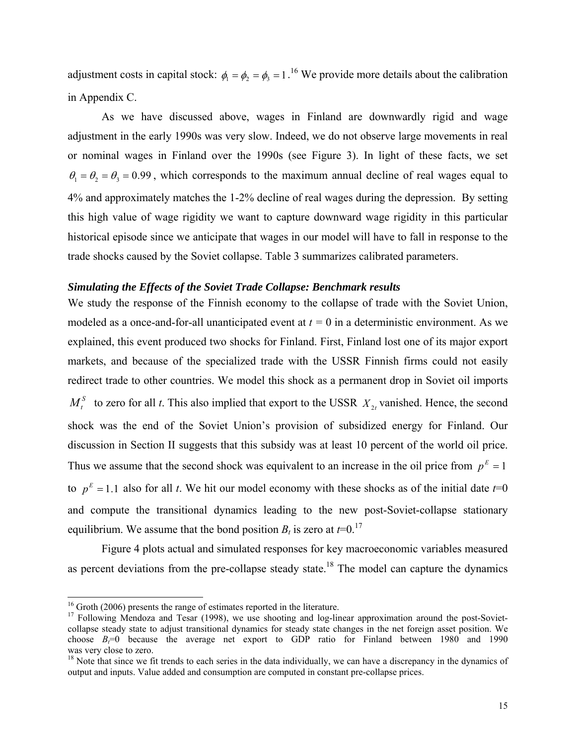adjustment costs in capital stock:  $\phi_1 = \phi_2 = \phi_3 = 1$ .<sup>16</sup> We provide more details about the calibration in Appendix C.

As we have discussed above, wages in Finland are downwardly rigid and wage adjustment in the early 1990s was very slow. Indeed, we do not observe large movements in real or nominal wages in Finland over the 1990s (see Figure 3). In light of these facts, we set  $\theta_1 = \theta_2 = \theta_3 = 0.99$ , which corresponds to the maximum annual decline of real wages equal to 4% and approximately matches the 1-2% decline of real wages during the depression. By setting this high value of wage rigidity we want to capture downward wage rigidity in this particular historical episode since we anticipate that wages in our model will have to fall in response to the trade shocks caused by the Soviet collapse. Table 3 summarizes calibrated parameters.

#### *Simulating the Effects of the Soviet Trade Collapse: Benchmark results*

We study the response of the Finnish economy to the collapse of trade with the Soviet Union, modeled as a once-and-for-all unanticipated event at  $t = 0$  in a deterministic environment. As we explained, this event produced two shocks for Finland. First, Finland lost one of its major export markets, and because of the specialized trade with the USSR Finnish firms could not easily redirect trade to other countries. We model this shock as a permanent drop in Soviet oil imports  $M_t^s$  to zero for all *t*. This also implied that export to the USSR  $X_{2t}$  vanished. Hence, the second shock was the end of the Soviet Union's provision of subsidized energy for Finland. Our discussion in Section II suggests that this subsidy was at least 10 percent of the world oil price. Thus we assume that the second shock was equivalent to an increase in the oil price from  $p<sup>E</sup> = 1$ to  $p^E = 1.1$  also for all *t*. We hit our model economy with these shocks as of the initial date  $t=0$ and compute the transitional dynamics leading to the new post-Soviet-collapse stationary equilibrium. We assume that the bond position  $B_t$  is zero at  $t=0$ .<sup>17</sup>

Figure 4 plots actual and simulated responses for key macroeconomic variables measured as percent deviations from the pre-collapse steady state.<sup>18</sup> The model can capture the dynamics

 $\overline{a}$ 

 $16$  Groth (2006) presents the range of estimates reported in the literature.

<sup>&</sup>lt;sup>17</sup> Following Mendoza and Tesar (1998), we use shooting and log-linear approximation around the post-Sovietcollapse steady state to adjust transitional dynamics for steady state changes in the net foreign asset position. We choose  $B<sub>i</sub>=0$  because the average net export to GDP ratio for Finland between 1980 and 1990 was very close to zero.

<sup>&</sup>lt;sup>18</sup> Note that since we fit trends to each series in the data individually, we can have a discrepancy in the dynamics of output and inputs. Value added and consumption are computed in constant pre-collapse prices.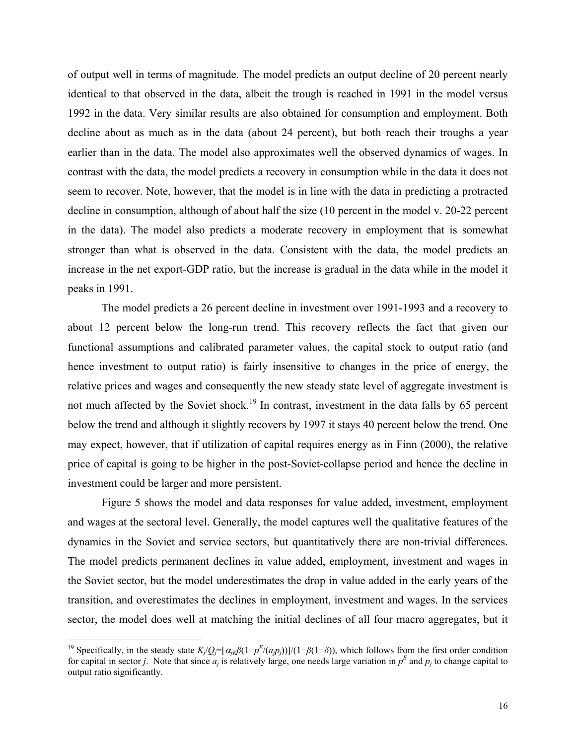of output well in terms of magnitude. The model predicts an output decline of 20 percent nearly identical to that observed in the data, albeit the trough is reached in 1991 in the model versus 1992 in the data. Very similar results are also obtained for consumption and employment. Both decline about as much as in the data (about 24 percent), but both reach their troughs a year earlier than in the data. The model also approximates well the observed dynamics of wages. In contrast with the data, the model predicts a recovery in consumption while in the data it does not seem to recover. Note, however, that the model is in line with the data in predicting a protracted decline in consumption, although of about half the size (10 percent in the model v. 20-22 percent in the data). The model also predicts a moderate recovery in employment that is somewhat stronger than what is observed in the data. Consistent with the data, the model predicts an increase in the net export-GDP ratio, but the increase is gradual in the data while in the model it peaks in 1991.

The model predicts a 26 percent decline in investment over 1991-1993 and a recovery to about 12 percent below the long-run trend. This recovery reflects the fact that given our functional assumptions and calibrated parameter values, the capital stock to output ratio (and hence investment to output ratio) is fairly insensitive to changes in the price of energy, the relative prices and wages and consequently the new steady state level of aggregate investment is not much affected by the Soviet shock.<sup>19</sup> In contrast, investment in the data falls by 65 percent below the trend and although it slightly recovers by 1997 it stays 40 percent below the trend. One may expect, however, that if utilization of capital requires energy as in Finn (2000), the relative price of capital is going to be higher in the post-Soviet-collapse period and hence the decline in investment could be larger and more persistent.

Figure 5 shows the model and data responses for value added, investment, employment and wages at the sectoral level. Generally, the model captures well the qualitative features of the dynamics in the Soviet and service sectors, but quantitatively there are non-trivial differences. The model predicts permanent declines in value added, employment, investment and wages in the Soviet sector, but the model underestimates the drop in value added in the early years of the transition, and overestimates the declines in employment, investment and wages. In the services sector, the model does well at matching the initial declines of all four macro aggregates, but it

 $\overline{a}$ 

<sup>&</sup>lt;sup>19</sup> Specifically, in the steady state  $K_j/Q_j = [\alpha_{jk}\beta(1-p^E/(a_j p_j))]$ /(1− $\beta(1-\delta)$ ), which follows from the first order condition for capital in sector *j*. Note that since  $a_j$  is relatively large, one needs large variation in  $p^E$  and  $p_j$  to change capital to output ratio significantly.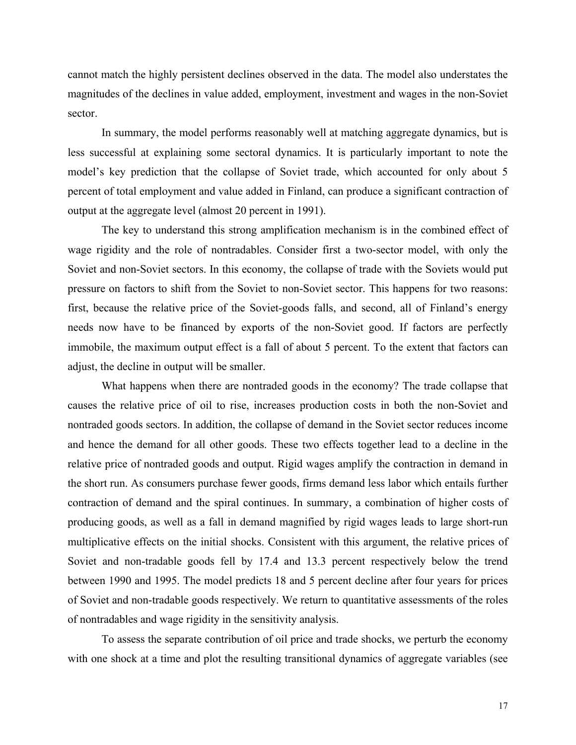cannot match the highly persistent declines observed in the data. The model also understates the magnitudes of the declines in value added, employment, investment and wages in the non-Soviet sector.

In summary, the model performs reasonably well at matching aggregate dynamics, but is less successful at explaining some sectoral dynamics. It is particularly important to note the model's key prediction that the collapse of Soviet trade, which accounted for only about 5 percent of total employment and value added in Finland, can produce a significant contraction of output at the aggregate level (almost 20 percent in 1991).

The key to understand this strong amplification mechanism is in the combined effect of wage rigidity and the role of nontradables. Consider first a two-sector model, with only the Soviet and non-Soviet sectors. In this economy, the collapse of trade with the Soviets would put pressure on factors to shift from the Soviet to non-Soviet sector. This happens for two reasons: first, because the relative price of the Soviet-goods falls, and second, all of Finland's energy needs now have to be financed by exports of the non-Soviet good. If factors are perfectly immobile, the maximum output effect is a fall of about 5 percent. To the extent that factors can adjust, the decline in output will be smaller.

What happens when there are nontraded goods in the economy? The trade collapse that causes the relative price of oil to rise, increases production costs in both the non-Soviet and nontraded goods sectors. In addition, the collapse of demand in the Soviet sector reduces income and hence the demand for all other goods. These two effects together lead to a decline in the relative price of nontraded goods and output. Rigid wages amplify the contraction in demand in the short run. As consumers purchase fewer goods, firms demand less labor which entails further contraction of demand and the spiral continues. In summary, a combination of higher costs of producing goods, as well as a fall in demand magnified by rigid wages leads to large short-run multiplicative effects on the initial shocks. Consistent with this argument, the relative prices of Soviet and non-tradable goods fell by 17.4 and 13.3 percent respectively below the trend between 1990 and 1995. The model predicts 18 and 5 percent decline after four years for prices of Soviet and non-tradable goods respectively. We return to quantitative assessments of the roles of nontradables and wage rigidity in the sensitivity analysis.

To assess the separate contribution of oil price and trade shocks, we perturb the economy with one shock at a time and plot the resulting transitional dynamics of aggregate variables (see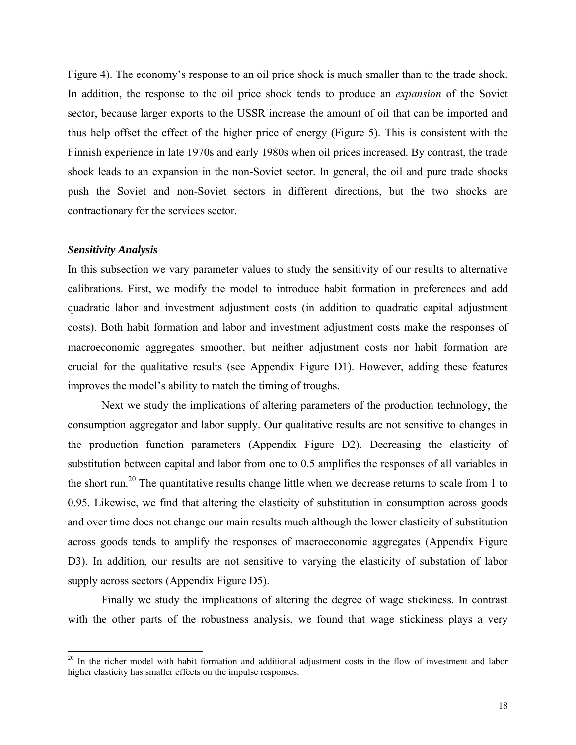Figure 4). The economy's response to an oil price shock is much smaller than to the trade shock. In addition, the response to the oil price shock tends to produce an *expansion* of the Soviet sector, because larger exports to the USSR increase the amount of oil that can be imported and thus help offset the effect of the higher price of energy (Figure 5). This is consistent with the Finnish experience in late 1970s and early 1980s when oil prices increased. By contrast, the trade shock leads to an expansion in the non-Soviet sector. In general, the oil and pure trade shocks push the Soviet and non-Soviet sectors in different directions, but the two shocks are contractionary for the services sector.

#### *Sensitivity Analysis*

 $\overline{a}$ 

In this subsection we vary parameter values to study the sensitivity of our results to alternative calibrations. First, we modify the model to introduce habit formation in preferences and add quadratic labor and investment adjustment costs (in addition to quadratic capital adjustment costs). Both habit formation and labor and investment adjustment costs make the responses of macroeconomic aggregates smoother, but neither adjustment costs nor habit formation are crucial for the qualitative results (see Appendix Figure D1). However, adding these features improves the model's ability to match the timing of troughs.

Next we study the implications of altering parameters of the production technology, the consumption aggregator and labor supply. Our qualitative results are not sensitive to changes in the production function parameters (Appendix Figure D2). Decreasing the elasticity of substitution between capital and labor from one to 0.5 amplifies the responses of all variables in the short run.<sup>20</sup> The quantitative results change little when we decrease returns to scale from 1 to 0.95. Likewise, we find that altering the elasticity of substitution in consumption across goods and over time does not change our main results much although the lower elasticity of substitution across goods tends to amplify the responses of macroeconomic aggregates (Appendix Figure D3). In addition, our results are not sensitive to varying the elasticity of substation of labor supply across sectors (Appendix Figure D5).

Finally we study the implications of altering the degree of wage stickiness. In contrast with the other parts of the robustness analysis, we found that wage stickiness plays a very

<sup>&</sup>lt;sup>20</sup> In the richer model with habit formation and additional adjustment costs in the flow of investment and labor higher elasticity has smaller effects on the impulse responses.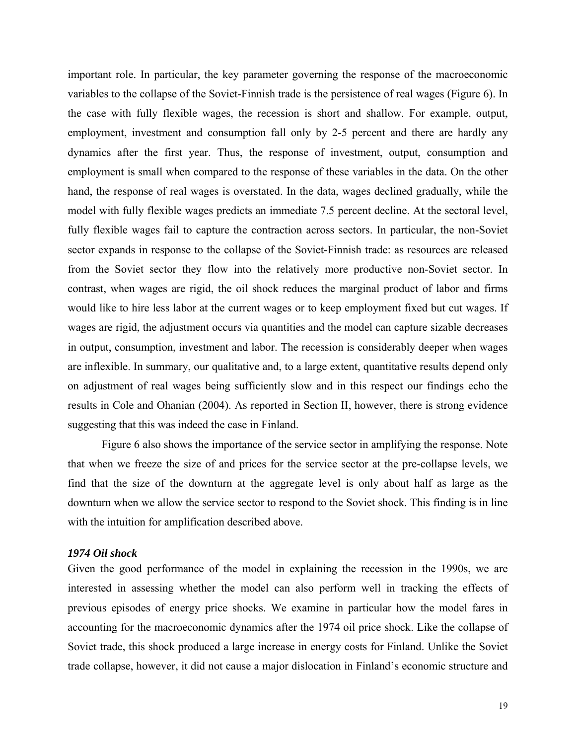important role. In particular, the key parameter governing the response of the macroeconomic variables to the collapse of the Soviet-Finnish trade is the persistence of real wages (Figure 6). In the case with fully flexible wages, the recession is short and shallow. For example, output, employment, investment and consumption fall only by 2-5 percent and there are hardly any dynamics after the first year. Thus, the response of investment, output, consumption and employment is small when compared to the response of these variables in the data. On the other hand, the response of real wages is overstated. In the data, wages declined gradually, while the model with fully flexible wages predicts an immediate 7.5 percent decline. At the sectoral level, fully flexible wages fail to capture the contraction across sectors. In particular, the non-Soviet sector expands in response to the collapse of the Soviet-Finnish trade: as resources are released from the Soviet sector they flow into the relatively more productive non-Soviet sector. In contrast, when wages are rigid, the oil shock reduces the marginal product of labor and firms would like to hire less labor at the current wages or to keep employment fixed but cut wages. If wages are rigid, the adjustment occurs via quantities and the model can capture sizable decreases in output, consumption, investment and labor. The recession is considerably deeper when wages are inflexible. In summary, our qualitative and, to a large extent, quantitative results depend only on adjustment of real wages being sufficiently slow and in this respect our findings echo the results in Cole and Ohanian (2004). As reported in Section II, however, there is strong evidence suggesting that this was indeed the case in Finland.

Figure 6 also shows the importance of the service sector in amplifying the response. Note that when we freeze the size of and prices for the service sector at the pre-collapse levels, we find that the size of the downturn at the aggregate level is only about half as large as the downturn when we allow the service sector to respond to the Soviet shock. This finding is in line with the intuition for amplification described above.

#### *1974 Oil shock*

Given the good performance of the model in explaining the recession in the 1990s, we are interested in assessing whether the model can also perform well in tracking the effects of previous episodes of energy price shocks. We examine in particular how the model fares in accounting for the macroeconomic dynamics after the 1974 oil price shock. Like the collapse of Soviet trade, this shock produced a large increase in energy costs for Finland. Unlike the Soviet trade collapse, however, it did not cause a major dislocation in Finland's economic structure and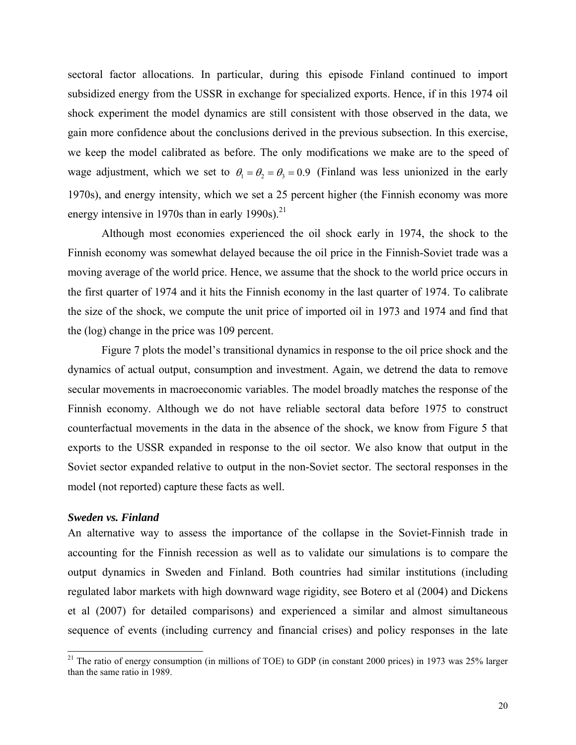sectoral factor allocations. In particular, during this episode Finland continued to import subsidized energy from the USSR in exchange for specialized exports. Hence, if in this 1974 oil shock experiment the model dynamics are still consistent with those observed in the data, we gain more confidence about the conclusions derived in the previous subsection. In this exercise, we keep the model calibrated as before. The only modifications we make are to the speed of wage adjustment, which we set to  $\theta_1 = \theta_2 = \theta_3 = 0.9$  (Finland was less unionized in the early 1970s), and energy intensity, which we set a 25 percent higher (the Finnish economy was more energy intensive in 1970s than in early 1990s). $^{21}$ 

Although most economies experienced the oil shock early in 1974, the shock to the Finnish economy was somewhat delayed because the oil price in the Finnish-Soviet trade was a moving average of the world price. Hence, we assume that the shock to the world price occurs in the first quarter of 1974 and it hits the Finnish economy in the last quarter of 1974. To calibrate the size of the shock, we compute the unit price of imported oil in 1973 and 1974 and find that the (log) change in the price was 109 percent.

Figure 7 plots the model's transitional dynamics in response to the oil price shock and the dynamics of actual output, consumption and investment. Again, we detrend the data to remove secular movements in macroeconomic variables. The model broadly matches the response of the Finnish economy. Although we do not have reliable sectoral data before 1975 to construct counterfactual movements in the data in the absence of the shock, we know from Figure 5 that exports to the USSR expanded in response to the oil sector. We also know that output in the Soviet sector expanded relative to output in the non-Soviet sector. The sectoral responses in the model (not reported) capture these facts as well.

#### *Sweden vs. Finland*

 $\overline{a}$ 

An alternative way to assess the importance of the collapse in the Soviet-Finnish trade in accounting for the Finnish recession as well as to validate our simulations is to compare the output dynamics in Sweden and Finland. Both countries had similar institutions (including regulated labor markets with high downward wage rigidity, see Botero et al (2004) and Dickens et al (2007) for detailed comparisons) and experienced a similar and almost simultaneous sequence of events (including currency and financial crises) and policy responses in the late

<sup>&</sup>lt;sup>21</sup> The ratio of energy consumption (in millions of TOE) to GDP (in constant 2000 prices) in 1973 was 25% larger than the same ratio in 1989.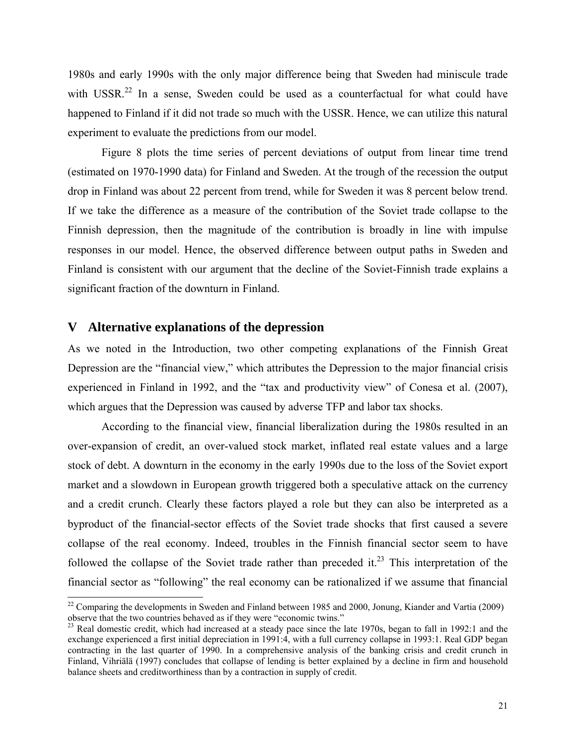1980s and early 1990s with the only major difference being that Sweden had miniscule trade with USSR.<sup>22</sup> In a sense, Sweden could be used as a counterfactual for what could have happened to Finland if it did not trade so much with the USSR. Hence, we can utilize this natural experiment to evaluate the predictions from our model.

Figure 8 plots the time series of percent deviations of output from linear time trend (estimated on 1970-1990 data) for Finland and Sweden. At the trough of the recession the output drop in Finland was about 22 percent from trend, while for Sweden it was 8 percent below trend. If we take the difference as a measure of the contribution of the Soviet trade collapse to the Finnish depression, then the magnitude of the contribution is broadly in line with impulse responses in our model. Hence, the observed difference between output paths in Sweden and Finland is consistent with our argument that the decline of the Soviet-Finnish trade explains a significant fraction of the downturn in Finland.

## **V Alternative explanations of the depression**

 $\overline{a}$ 

As we noted in the Introduction, two other competing explanations of the Finnish Great Depression are the "financial view," which attributes the Depression to the major financial crisis experienced in Finland in 1992, and the "tax and productivity view" of Conesa et al. (2007), which argues that the Depression was caused by adverse TFP and labor tax shocks.

According to the financial view, financial liberalization during the 1980s resulted in an over-expansion of credit, an over-valued stock market, inflated real estate values and a large stock of debt. A downturn in the economy in the early 1990s due to the loss of the Soviet export market and a slowdown in European growth triggered both a speculative attack on the currency and a credit crunch. Clearly these factors played a role but they can also be interpreted as a byproduct of the financial-sector effects of the Soviet trade shocks that first caused a severe collapse of the real economy. Indeed, troubles in the Finnish financial sector seem to have followed the collapse of the Soviet trade rather than preceded it.<sup>23</sup> This interpretation of the financial sector as "following" the real economy can be rationalized if we assume that financial

 $22$  Comparing the developments in Sweden and Finland between 1985 and 2000, Jonung, Kiander and Vartia (2009) observe that the two countries behaved as if they were "economic twins."

 $^{23}$  Real domestic credit, which had increased at a steady pace since the late 1970s, began to fall in 1992:1 and the exchange experienced a first initial depreciation in 1991:4, with a full currency collapse in 1993:1. Real GDP began contracting in the last quarter of 1990. In a comprehensive analysis of the banking crisis and credit crunch in Finland, Vihriälä (1997) concludes that collapse of lending is better explained by a decline in firm and household balance sheets and creditworthiness than by a contraction in supply of credit.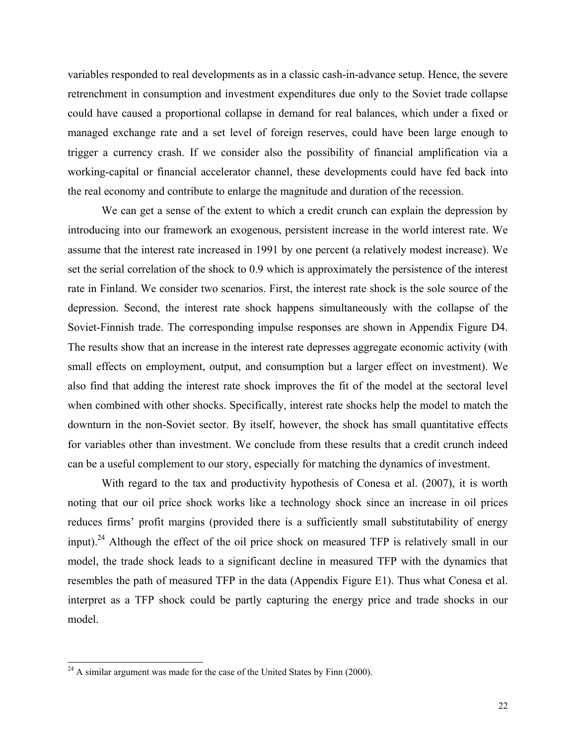variables responded to real developments as in a classic cash-in-advance setup. Hence, the severe retrenchment in consumption and investment expenditures due only to the Soviet trade collapse could have caused a proportional collapse in demand for real balances, which under a fixed or managed exchange rate and a set level of foreign reserves, could have been large enough to trigger a currency crash. If we consider also the possibility of financial amplification via a working-capital or financial accelerator channel, these developments could have fed back into the real economy and contribute to enlarge the magnitude and duration of the recession.

We can get a sense of the extent to which a credit crunch can explain the depression by introducing into our framework an exogenous, persistent increase in the world interest rate. We assume that the interest rate increased in 1991 by one percent (a relatively modest increase). We set the serial correlation of the shock to 0.9 which is approximately the persistence of the interest rate in Finland. We consider two scenarios. First, the interest rate shock is the sole source of the depression. Second, the interest rate shock happens simultaneously with the collapse of the Soviet-Finnish trade. The corresponding impulse responses are shown in Appendix Figure D4. The results show that an increase in the interest rate depresses aggregate economic activity (with small effects on employment, output, and consumption but a larger effect on investment). We also find that adding the interest rate shock improves the fit of the model at the sectoral level when combined with other shocks. Specifically, interest rate shocks help the model to match the downturn in the non-Soviet sector. By itself, however, the shock has small quantitative effects for variables other than investment. We conclude from these results that a credit crunch indeed can be a useful complement to our story, especially for matching the dynamics of investment.

With regard to the tax and productivity hypothesis of Conesa et al. (2007), it is worth noting that our oil price shock works like a technology shock since an increase in oil prices reduces firms' profit margins (provided there is a sufficiently small substitutability of energy input).<sup>24</sup> Although the effect of the oil price shock on measured TFP is relatively small in our model, the trade shock leads to a significant decline in measured TFP with the dynamics that resembles the path of measured TFP in the data (Appendix Figure E1). Thus what Conesa et al. interpret as a TFP shock could be partly capturing the energy price and trade shocks in our model.

 $\overline{a}$ 

 $24$  A similar argument was made for the case of the United States by Finn (2000).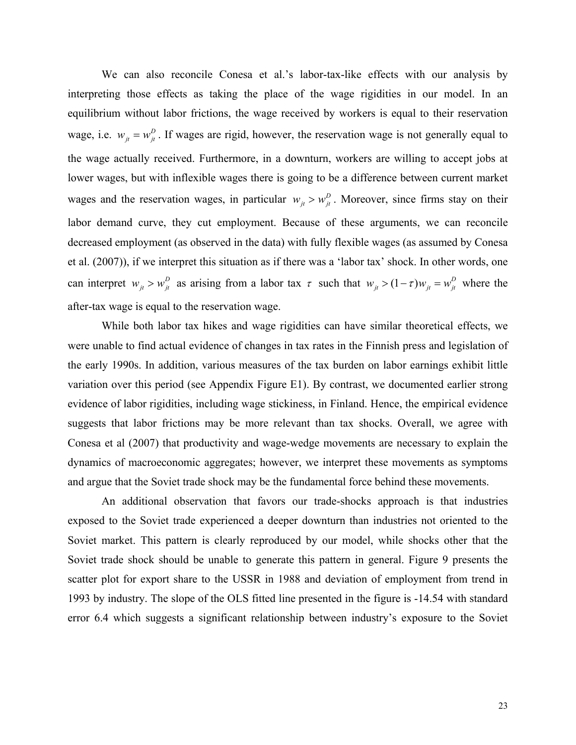We can also reconcile Conesa et al.'s labor-tax-like effects with our analysis by interpreting those effects as taking the place of the wage rigidities in our model. In an equilibrium without labor frictions, the wage received by workers is equal to their reservation wage, i.e.  $w_{jt} = w_{jt}^D$ . If wages are rigid, however, the reservation wage is not generally equal to the wage actually received. Furthermore, in a downturn, workers are willing to accept jobs at lower wages, but with inflexible wages there is going to be a difference between current market wages and the reservation wages, in particular  $w_{jt} > w_{jt}^D$ . Moreover, since firms stay on their labor demand curve, they cut employment. Because of these arguments, we can reconcile decreased employment (as observed in the data) with fully flexible wages (as assumed by Conesa et al. (2007)), if we interpret this situation as if there was a 'labor tax' shock. In other words, one can interpret  $w_{it} > w_{it}^D$  as arising from a labor tax  $\tau$  such that  $w_{it} > (1 - \tau) w_{it} = w_{it}^D$  where the after-tax wage is equal to the reservation wage.

While both labor tax hikes and wage rigidities can have similar theoretical effects, we were unable to find actual evidence of changes in tax rates in the Finnish press and legislation of the early 1990s. In addition, various measures of the tax burden on labor earnings exhibit little variation over this period (see Appendix Figure E1). By contrast, we documented earlier strong evidence of labor rigidities, including wage stickiness, in Finland. Hence, the empirical evidence suggests that labor frictions may be more relevant than tax shocks. Overall, we agree with Conesa et al (2007) that productivity and wage-wedge movements are necessary to explain the dynamics of macroeconomic aggregates; however, we interpret these movements as symptoms and argue that the Soviet trade shock may be the fundamental force behind these movements.

An additional observation that favors our trade-shocks approach is that industries exposed to the Soviet trade experienced a deeper downturn than industries not oriented to the Soviet market. This pattern is clearly reproduced by our model, while shocks other that the Soviet trade shock should be unable to generate this pattern in general. Figure 9 presents the scatter plot for export share to the USSR in 1988 and deviation of employment from trend in 1993 by industry. The slope of the OLS fitted line presented in the figure is -14.54 with standard error 6.4 which suggests a significant relationship between industry's exposure to the Soviet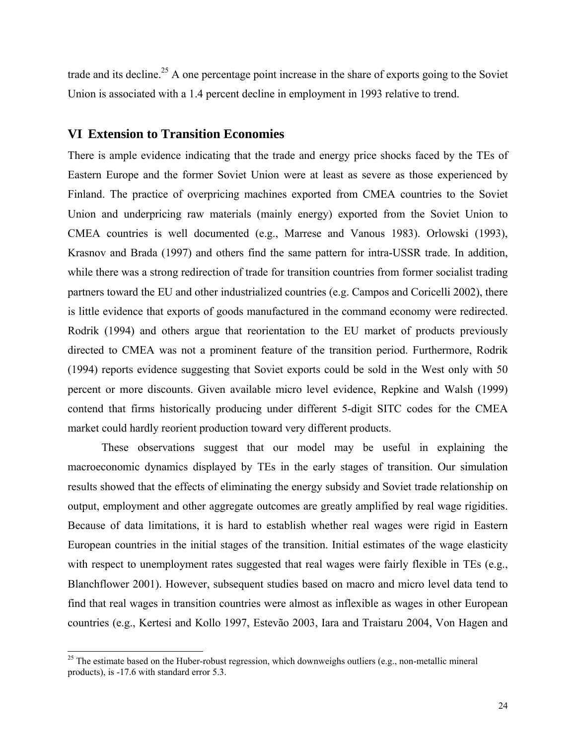trade and its decline.<sup>25</sup> A one percentage point increase in the share of exports going to the Soviet Union is associated with a 1.4 percent decline in employment in 1993 relative to trend.

#### **VI Extension to Transition Economies**

There is ample evidence indicating that the trade and energy price shocks faced by the TEs of Eastern Europe and the former Soviet Union were at least as severe as those experienced by Finland. The practice of overpricing machines exported from CMEA countries to the Soviet Union and underpricing raw materials (mainly energy) exported from the Soviet Union to CMEA countries is well documented (e.g., Marrese and Vanous 1983). Orlowski (1993), Krasnov and Brada (1997) and others find the same pattern for intra-USSR trade. In addition, while there was a strong redirection of trade for transition countries from former socialist trading partners toward the EU and other industrialized countries (e.g. Campos and Coricelli 2002), there is little evidence that exports of goods manufactured in the command economy were redirected. Rodrik (1994) and others argue that reorientation to the EU market of products previously directed to CMEA was not a prominent feature of the transition period. Furthermore, Rodrik (1994) reports evidence suggesting that Soviet exports could be sold in the West only with 50 percent or more discounts. Given available micro level evidence, Repkine and Walsh (1999) contend that firms historically producing under different 5-digit SITC codes for the CMEA market could hardly reorient production toward very different products.

These observations suggest that our model may be useful in explaining the macroeconomic dynamics displayed by TEs in the early stages of transition. Our simulation results showed that the effects of eliminating the energy subsidy and Soviet trade relationship on output, employment and other aggregate outcomes are greatly amplified by real wage rigidities. Because of data limitations, it is hard to establish whether real wages were rigid in Eastern European countries in the initial stages of the transition. Initial estimates of the wage elasticity with respect to unemployment rates suggested that real wages were fairly flexible in TEs (e.g., Blanchflower 2001). However, subsequent studies based on macro and micro level data tend to find that real wages in transition countries were almost as inflexible as wages in other European countries (e.g., Kertesi and Kollo 1997, Estevão 2003, Iara and Traistaru 2004, Von Hagen and

 $\overline{a}$ 

 $25$  The estimate based on the Huber-robust regression, which downweighs outliers (e.g., non-metallic mineral products), is -17.6 with standard error 5.3.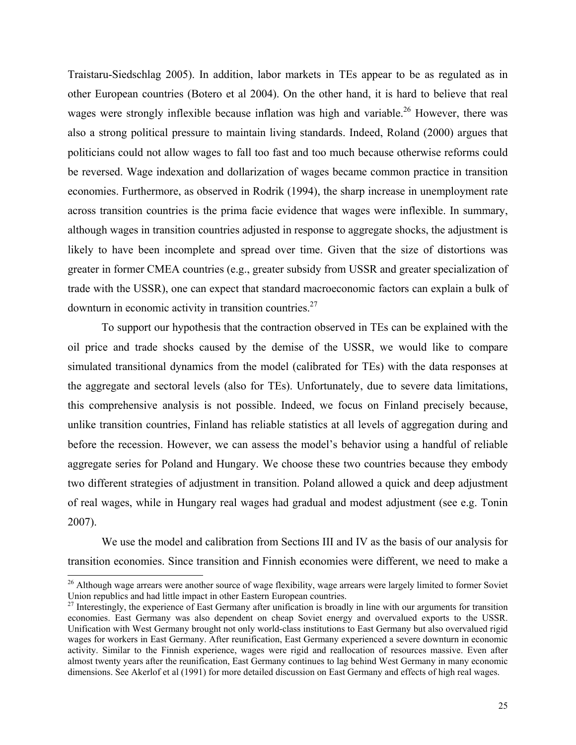Traistaru-Siedschlag 2005). In addition, labor markets in TEs appear to be as regulated as in other European countries (Botero et al 2004). On the other hand, it is hard to believe that real wages were strongly inflexible because inflation was high and variable.<sup>26</sup> However, there was also a strong political pressure to maintain living standards. Indeed, Roland (2000) argues that politicians could not allow wages to fall too fast and too much because otherwise reforms could be reversed. Wage indexation and dollarization of wages became common practice in transition economies. Furthermore, as observed in Rodrik (1994), the sharp increase in unemployment rate across transition countries is the prima facie evidence that wages were inflexible. In summary, although wages in transition countries adjusted in response to aggregate shocks, the adjustment is likely to have been incomplete and spread over time. Given that the size of distortions was greater in former CMEA countries (e.g., greater subsidy from USSR and greater specialization of trade with the USSR), one can expect that standard macroeconomic factors can explain a bulk of downturn in economic activity in transition countries.27

To support our hypothesis that the contraction observed in TEs can be explained with the oil price and trade shocks caused by the demise of the USSR, we would like to compare simulated transitional dynamics from the model (calibrated for TEs) with the data responses at the aggregate and sectoral levels (also for TEs). Unfortunately, due to severe data limitations, this comprehensive analysis is not possible. Indeed, we focus on Finland precisely because, unlike transition countries, Finland has reliable statistics at all levels of aggregation during and before the recession. However, we can assess the model's behavior using a handful of reliable aggregate series for Poland and Hungary. We choose these two countries because they embody two different strategies of adjustment in transition. Poland allowed a quick and deep adjustment of real wages, while in Hungary real wages had gradual and modest adjustment (see e.g. Tonin 2007).

We use the model and calibration from Sections III and IV as the basis of our analysis for transition economies. Since transition and Finnish economies were different, we need to make a

l

<sup>&</sup>lt;sup>26</sup> Although wage arrears were another source of wage flexibility, wage arrears were largely limited to former Soviet Union republics and had little impact in other Eastern European countries.<br><sup>27</sup> Interestingly, the experience of East Germany after unification is broadly in line with our arguments for transition

economies. East Germany was also dependent on cheap Soviet energy and overvalued exports to the USSR. Unification with West Germany brought not only world-class institutions to East Germany but also overvalued rigid wages for workers in East Germany. After reunification, East Germany experienced a severe downturn in economic activity. Similar to the Finnish experience, wages were rigid and reallocation of resources massive. Even after almost twenty years after the reunification, East Germany continues to lag behind West Germany in many economic dimensions. See Akerlof et al (1991) for more detailed discussion on East Germany and effects of high real wages.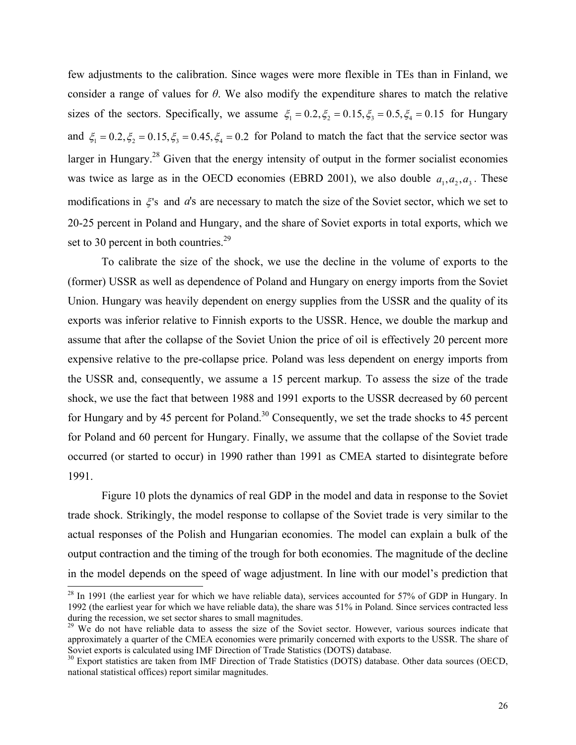few adjustments to the calibration. Since wages were more flexible in TEs than in Finland, we consider a range of values for *θ*. We also modify the expenditure shares to match the relative sizes of the sectors. Specifically, we assume  $\xi_1 = 0.2, \xi_2 = 0.15, \xi_3 = 0.5, \xi_4 = 0.15$  for Hungary and  $\xi_1 = 0.2, \xi_2 = 0.15, \xi_3 = 0.45, \xi_4 = 0.2$  for Poland to match the fact that the service sector was larger in Hungary.<sup>28</sup> Given that the energy intensity of output in the former socialist economies was twice as large as in the OECD economies (EBRD 2001), we also double  $a_1, a_2, a_3$ . These modifications in  $\xi$ 's and  $a$ 's are necessary to match the size of the Soviet sector, which we set to 20-25 percent in Poland and Hungary, and the share of Soviet exports in total exports, which we set to 30 percent in both countries. $2<sup>9</sup>$ 

To calibrate the size of the shock, we use the decline in the volume of exports to the (former) USSR as well as dependence of Poland and Hungary on energy imports from the Soviet Union. Hungary was heavily dependent on energy supplies from the USSR and the quality of its exports was inferior relative to Finnish exports to the USSR. Hence, we double the markup and assume that after the collapse of the Soviet Union the price of oil is effectively 20 percent more expensive relative to the pre-collapse price. Poland was less dependent on energy imports from the USSR and, consequently, we assume a 15 percent markup. To assess the size of the trade shock, we use the fact that between 1988 and 1991 exports to the USSR decreased by 60 percent for Hungary and by 45 percent for Poland.<sup>30</sup> Consequently, we set the trade shocks to 45 percent for Poland and 60 percent for Hungary. Finally, we assume that the collapse of the Soviet trade occurred (or started to occur) in 1990 rather than 1991 as CMEA started to disintegrate before 1991.

Figure 10 plots the dynamics of real GDP in the model and data in response to the Soviet trade shock. Strikingly, the model response to collapse of the Soviet trade is very similar to the actual responses of the Polish and Hungarian economies. The model can explain a bulk of the output contraction and the timing of the trough for both economies. The magnitude of the decline in the model depends on the speed of wage adjustment. In line with our model's prediction that  $\overline{a}$ 

 $2<sup>28</sup>$  In 1991 (the earliest year for which we have reliable data), services accounted for 57% of GDP in Hungary. In 1992 (the earliest year for which we have reliable data), the share was 51% in Poland. Since services contracted less during the recession, we set sector shares to small magnitudes.

<sup>&</sup>lt;sup>29</sup> We do not have reliable data to assess the size of the Soviet sector. However, various sources indicate that approximately a quarter of the CMEA economies were primarily concerned with exports to the USSR. The share of Soviet exports is calculated using IMF Direction of Trade Statistics (DOTS) database.

<sup>&</sup>lt;sup>30</sup> Export statistics are taken from IMF Direction of Trade Statistics (DOTS) database. Other data sources (OECD, national statistical offices) report similar magnitudes.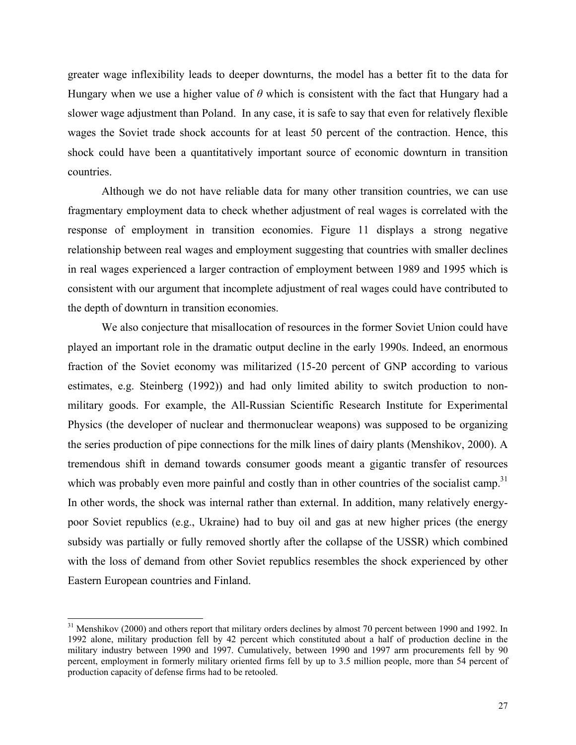greater wage inflexibility leads to deeper downturns, the model has a better fit to the data for Hungary when we use a higher value of *θ* which is consistent with the fact that Hungary had a slower wage adjustment than Poland. In any case, it is safe to say that even for relatively flexible wages the Soviet trade shock accounts for at least 50 percent of the contraction. Hence, this shock could have been a quantitatively important source of economic downturn in transition countries.

Although we do not have reliable data for many other transition countries, we can use fragmentary employment data to check whether adjustment of real wages is correlated with the response of employment in transition economies. Figure 11 displays a strong negative relationship between real wages and employment suggesting that countries with smaller declines in real wages experienced a larger contraction of employment between 1989 and 1995 which is consistent with our argument that incomplete adjustment of real wages could have contributed to the depth of downturn in transition economies.

We also conjecture that misallocation of resources in the former Soviet Union could have played an important role in the dramatic output decline in the early 1990s. Indeed, an enormous fraction of the Soviet economy was militarized (15-20 percent of GNP according to various estimates, e.g. Steinberg (1992)) and had only limited ability to switch production to nonmilitary goods. For example, the All-Russian Scientific Research Institute for Experimental Physics (the developer of nuclear and thermonuclear weapons) was supposed to be organizing the series production of pipe connections for the milk lines of dairy plants (Menshikov, 2000). A tremendous shift in demand towards consumer goods meant a gigantic transfer of resources which was probably even more painful and costly than in other countries of the socialist camp.<sup>31</sup> In other words, the shock was internal rather than external. In addition, many relatively energypoor Soviet republics (e.g., Ukraine) had to buy oil and gas at new higher prices (the energy subsidy was partially or fully removed shortly after the collapse of the USSR) which combined with the loss of demand from other Soviet republics resembles the shock experienced by other Eastern European countries and Finland.

 $\overline{a}$ 

 $31$  Menshikov (2000) and others report that military orders declines by almost 70 percent between 1990 and 1992. In 1992 alone, military production fell by 42 percent which constituted about a half of production decline in the military industry between 1990 and 1997. Cumulatively, between 1990 and 1997 arm procurements fell by 90 percent, employment in formerly military oriented firms fell by up to 3.5 million people, more than 54 percent of production capacity of defense firms had to be retooled.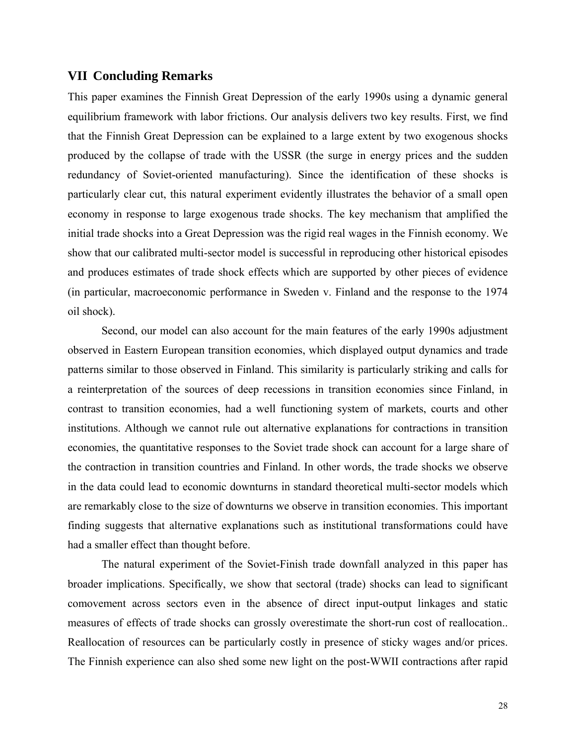## **VII Concluding Remarks**

This paper examines the Finnish Great Depression of the early 1990s using a dynamic general equilibrium framework with labor frictions. Our analysis delivers two key results. First, we find that the Finnish Great Depression can be explained to a large extent by two exogenous shocks produced by the collapse of trade with the USSR (the surge in energy prices and the sudden redundancy of Soviet-oriented manufacturing). Since the identification of these shocks is particularly clear cut, this natural experiment evidently illustrates the behavior of a small open economy in response to large exogenous trade shocks. The key mechanism that amplified the initial trade shocks into a Great Depression was the rigid real wages in the Finnish economy. We show that our calibrated multi-sector model is successful in reproducing other historical episodes and produces estimates of trade shock effects which are supported by other pieces of evidence (in particular, macroeconomic performance in Sweden v. Finland and the response to the 1974 oil shock).

Second, our model can also account for the main features of the early 1990s adjustment observed in Eastern European transition economies, which displayed output dynamics and trade patterns similar to those observed in Finland. This similarity is particularly striking and calls for a reinterpretation of the sources of deep recessions in transition economies since Finland, in contrast to transition economies, had a well functioning system of markets, courts and other institutions. Although we cannot rule out alternative explanations for contractions in transition economies, the quantitative responses to the Soviet trade shock can account for a large share of the contraction in transition countries and Finland. In other words, the trade shocks we observe in the data could lead to economic downturns in standard theoretical multi-sector models which are remarkably close to the size of downturns we observe in transition economies. This important finding suggests that alternative explanations such as institutional transformations could have had a smaller effect than thought before.

 The natural experiment of the Soviet-Finish trade downfall analyzed in this paper has broader implications. Specifically, we show that sectoral (trade) shocks can lead to significant comovement across sectors even in the absence of direct input-output linkages and static measures of effects of trade shocks can grossly overestimate the short-run cost of reallocation.. Reallocation of resources can be particularly costly in presence of sticky wages and/or prices. The Finnish experience can also shed some new light on the post-WWII contractions after rapid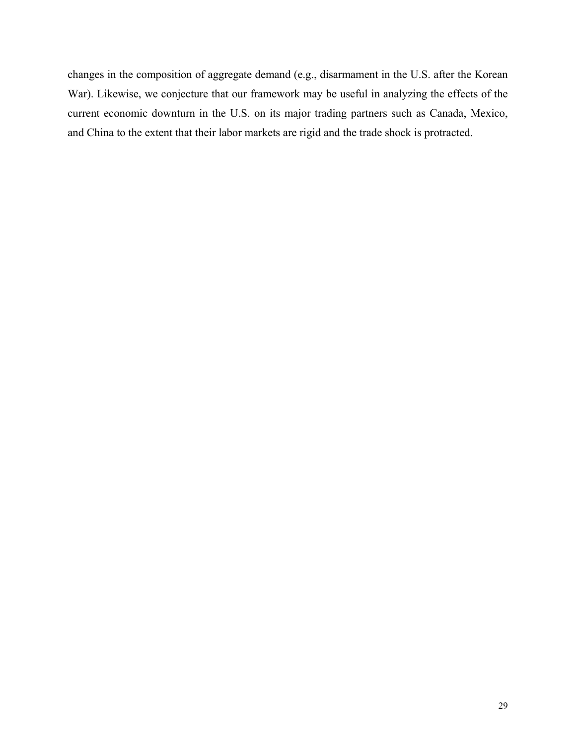changes in the composition of aggregate demand (e.g., disarmament in the U.S. after the Korean War). Likewise, we conjecture that our framework may be useful in analyzing the effects of the current economic downturn in the U.S. on its major trading partners such as Canada, Mexico, and China to the extent that their labor markets are rigid and the trade shock is protracted.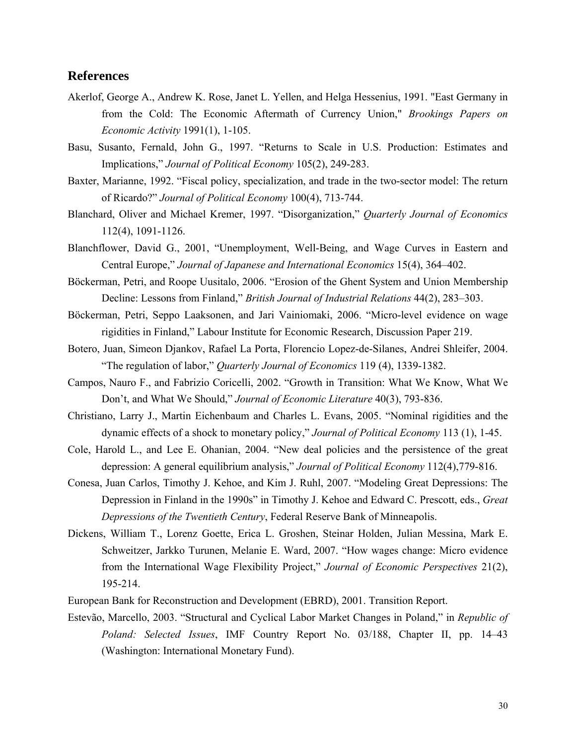## **References**

- Akerlof, George A., Andrew K. Rose, Janet L. Yellen, and Helga Hessenius, 1991. "East Germany in from the Cold: The Economic Aftermath of Currency Union," *Brookings Papers on Economic Activity* 1991(1), 1-105.
- Basu, Susanto, Fernald, John G., 1997. "Returns to Scale in U.S. Production: Estimates and Implications," *Journal of Political Economy* 105(2), 249-283.
- Baxter, Marianne, 1992. "Fiscal policy, specialization, and trade in the two-sector model: The return of Ricardo?" *Journal of Political Economy* 100(4), 713-744.
- Blanchard, Oliver and Michael Kremer, 1997. "Disorganization," *Quarterly Journal of Economics* 112(4), 1091-1126.
- Blanchflower, David G., 2001, "Unemployment, Well-Being, and Wage Curves in Eastern and Central Europe," *Journal of Japanese and International Economics* 15(4), 364–402.
- Böckerman, Petri, and Roope Uusitalo, 2006. "Erosion of the Ghent System and Union Membership Decline: Lessons from Finland," *British Journal of Industrial Relations* 44(2), 283–303.
- Böckerman, Petri, Seppo Laaksonen, and Jari Vainiomaki, 2006. "Micro-level evidence on wage rigidities in Finland," Labour Institute for Economic Research, Discussion Paper 219.
- Botero, Juan, Simeon Djankov, Rafael La Porta, Florencio Lopez-de-Silanes, Andrei Shleifer, 2004. "The regulation of labor," *Quarterly Journal of Economics* 119 (4), 1339-1382.
- Campos, Nauro F., and Fabrizio Coricelli, 2002. "Growth in Transition: What We Know, What We Don't, and What We Should," *Journal of Economic Literature* 40(3), 793-836.
- Christiano, Larry J., Martin Eichenbaum and Charles L. Evans, 2005. "Nominal rigidities and the dynamic effects of a shock to monetary policy," *Journal of Political Economy* 113 (1), 1-45.
- Cole, Harold L., and Lee E. Ohanian, 2004. "New deal policies and the persistence of the great depression: A general equilibrium analysis," *Journal of Political Economy* 112(4),779-816.
- Conesa, Juan Carlos, Timothy J. Kehoe, and Kim J. Ruhl, 2007. "Modeling Great Depressions: The Depression in Finland in the 1990s" in Timothy J. Kehoe and Edward C. Prescott, eds., *Great Depressions of the Twentieth Century*, Federal Reserve Bank of Minneapolis.
- Dickens, William T., Lorenz Goette, Erica L. Groshen, Steinar Holden, Julian Messina, Mark E. Schweitzer, Jarkko Turunen, Melanie E. Ward, 2007. "How wages change: Micro evidence from the International Wage Flexibility Project," *Journal of Economic Perspectives* 21(2), 195-214.
- European Bank for Reconstruction and Development (EBRD), 2001. Transition Report.
- Estevão, Marcello, 2003. "Structural and Cyclical Labor Market Changes in Poland," in *Republic of Poland: Selected Issues*, IMF Country Report No. 03/188, Chapter II, pp. 14–43 (Washington: International Monetary Fund).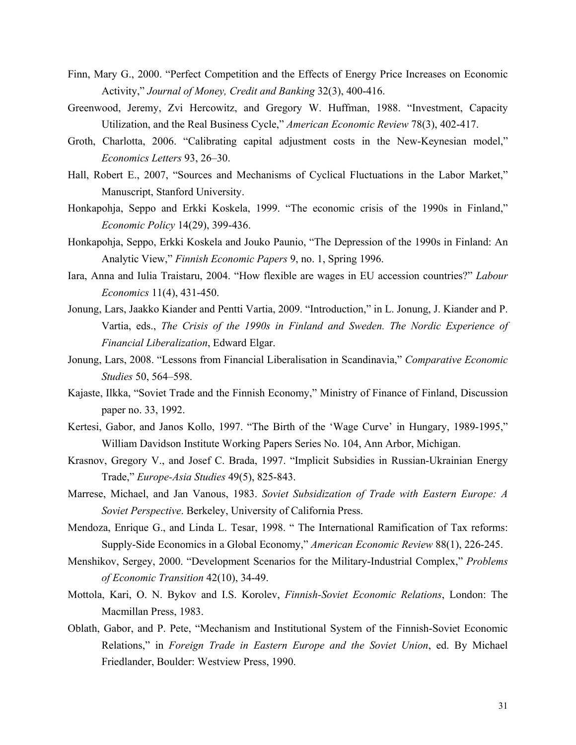- Finn, Mary G., 2000. "Perfect Competition and the Effects of Energy Price Increases on Economic Activity," *Journal of Money, Credit and Banking* 32(3), 400-416.
- Greenwood, Jeremy, Zvi Hercowitz, and Gregory W. Huffman, 1988. "Investment, Capacity Utilization, and the Real Business Cycle," *American Economic Review* 78(3), 402-417.
- Groth, Charlotta, 2006. "Calibrating capital adjustment costs in the New-Keynesian model," *Economics Letters* 93, 26–30.
- Hall, Robert E., 2007, "Sources and Mechanisms of Cyclical Fluctuations in the Labor Market," Manuscript, Stanford University.
- Honkapohja, Seppo and Erkki Koskela, 1999. "The economic crisis of the 1990s in Finland," *Economic Policy* 14(29), 399-436.
- Honkapohja, Seppo, Erkki Koskela and Jouko Paunio, "The Depression of the 1990s in Finland: An Analytic View," *Finnish Economic Papers* 9, no. 1, Spring 1996.
- Iara, Anna and Iulia Traistaru, 2004. "How flexible are wages in EU accession countries?" *Labour Economics* 11(4), 431-450.
- Jonung, Lars, Jaakko Kiander and Pentti Vartia, 2009. "Introduction," in L. Jonung, J. Kiander and P. Vartia, eds., *The Crisis of the 1990s in Finland and Sweden. The Nordic Experience of Financial Liberalization*, Edward Elgar.
- Jonung, Lars, 2008. "Lessons from Financial Liberalisation in Scandinavia," *Comparative Economic Studies* 50, 564–598.
- Kajaste, Ilkka, "Soviet Trade and the Finnish Economy," Ministry of Finance of Finland, Discussion paper no. 33, 1992.
- Kertesi, Gabor, and Janos Kollo, 1997. "The Birth of the 'Wage Curve' in Hungary, 1989-1995," William Davidson Institute Working Papers Series No. 104, Ann Arbor, Michigan.
- Krasnov, Gregory V., and Josef C. Brada, 1997. "Implicit Subsidies in Russian-Ukrainian Energy Trade," *Europe-Asia Studies* 49(5), 825-843.
- Marrese, Michael, and Jan Vanous, 1983. *Soviet Subsidization of Trade with Eastern Europe: A Soviet Perspective*. Berkeley, University of California Press.
- Mendoza, Enrique G., and Linda L. Tesar, 1998. " The International Ramification of Tax reforms: Supply-Side Economics in a Global Economy," *American Economic Review* 88(1), 226-245.
- Menshikov, Sergey, 2000. "Development Scenarios for the Military-Industrial Complex," *Problems of Economic Transition* 42(10), 34-49.
- Mottola, Kari, O. N. Bykov and I.S. Korolev, *Finnish-Soviet Economic Relations*, London: The Macmillan Press, 1983.
- Oblath, Gabor, and P. Pete, "Mechanism and Institutional System of the Finnish-Soviet Economic Relations," in *Foreign Trade in Eastern Europe and the Soviet Union*, ed. By Michael Friedlander, Boulder: Westview Press, 1990.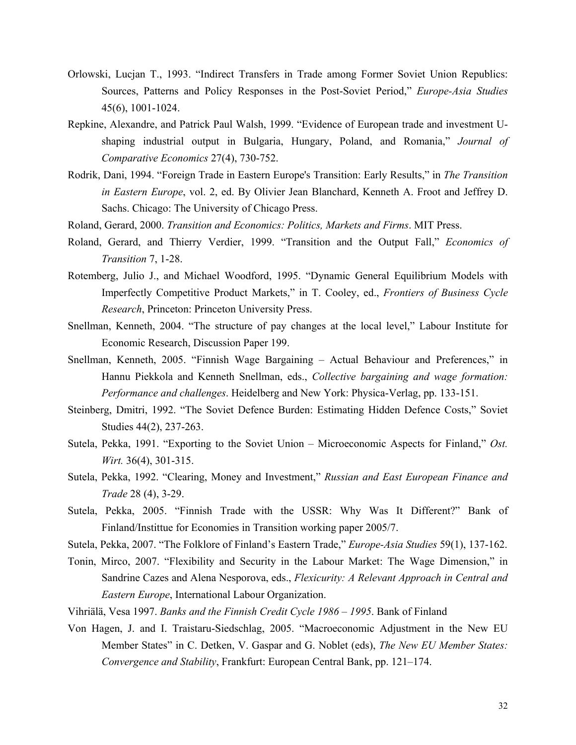- Orlowski, Lucjan T., 1993. "Indirect Transfers in Trade among Former Soviet Union Republics: Sources, Patterns and Policy Responses in the Post-Soviet Period," *Europe-Asia Studies* 45(6), 1001-1024.
- Repkine, Alexandre, and Patrick Paul Walsh, 1999. "Evidence of European trade and investment Ushaping industrial output in Bulgaria, Hungary, Poland, and Romania," *Journal of Comparative Economics* 27(4), 730-752.
- Rodrik, Dani, 1994. "Foreign Trade in Eastern Europe's Transition: Early Results," in *The Transition in Eastern Europe*, vol. 2, ed. By Olivier Jean Blanchard, Kenneth A. Froot and Jeffrey D. Sachs. Chicago: The University of Chicago Press.
- Roland, Gerard, 2000. *Transition and Economics: Politics, Markets and Firms*. MIT Press.
- Roland, Gerard, and Thierry Verdier, 1999. "Transition and the Output Fall," *Economics of Transition* 7, 1-28.
- Rotemberg, Julio J., and Michael Woodford, 1995. "Dynamic General Equilibrium Models with Imperfectly Competitive Product Markets," in T. Cooley, ed., *Frontiers of Business Cycle Research*, Princeton: Princeton University Press.
- Snellman, Kenneth, 2004. "The structure of pay changes at the local level," Labour Institute for Economic Research, Discussion Paper 199.
- Snellman, Kenneth, 2005. "Finnish Wage Bargaining Actual Behaviour and Preferences," in Hannu Piekkola and Kenneth Snellman, eds., *Collective bargaining and wage formation: Performance and challenges*. Heidelberg and New York: Physica-Verlag, pp. 133-151.
- Steinberg, Dmitri, 1992. "The Soviet Defence Burden: Estimating Hidden Defence Costs," Soviet Studies 44(2), 237-263.
- Sutela, Pekka, 1991. "Exporting to the Soviet Union Microeconomic Aspects for Finland," *Ost. Wirt.* 36(4), 301-315.
- Sutela, Pekka, 1992. "Clearing, Money and Investment," *Russian and East European Finance and Trade* 28 (4), 3-29.
- Sutela, Pekka, 2005. "Finnish Trade with the USSR: Why Was It Different?" Bank of Finland/Instittue for Economies in Transition working paper 2005/7.
- Sutela, Pekka, 2007. "The Folklore of Finland's Eastern Trade," *Europe-Asia Studies* 59(1), 137-162.
- Tonin, Mirco, 2007. "Flexibility and Security in the Labour Market: The Wage Dimension," in Sandrine Cazes and Alena Nesporova, eds., *Flexicurity: A Relevant Approach in Central and Eastern Europe*, International Labour Organization.
- Vihriälä, Vesa 1997. *Banks and the Finnish Credit Cycle 1986 1995*. Bank of Finland
- Von Hagen, J. and I. Traistaru-Siedschlag, 2005. "Macroeconomic Adjustment in the New EU Member States" in C. Detken, V. Gaspar and G. Noblet (eds), *The New EU Member States: Convergence and Stability*, Frankfurt: European Central Bank, pp. 121–174.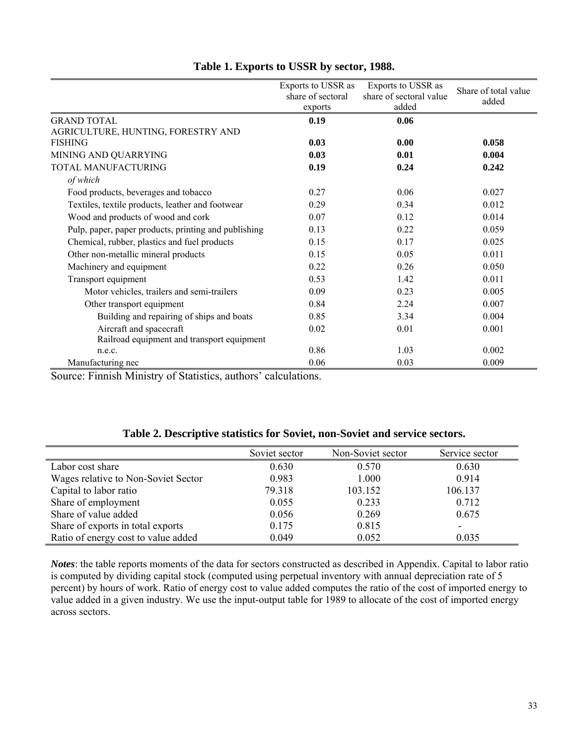|                                                      | Exports to USSR as<br>share of sectoral<br>exports | Exports to USSR as<br>share of sectoral value<br>added | Share of total value<br>added |
|------------------------------------------------------|----------------------------------------------------|--------------------------------------------------------|-------------------------------|
| <b>GRAND TOTAL</b>                                   | 0.19                                               | 0.06                                                   |                               |
| AGRICULTURE, HUNTING, FORESTRY AND                   |                                                    |                                                        |                               |
| <b>FISHING</b>                                       | 0.03                                               | 0.00                                                   | 0.058                         |
| MINING AND QUARRYING                                 | 0.03                                               | 0.01                                                   | 0.004                         |
| TOTAL MANUFACTURING                                  | 0.19                                               | 0.24                                                   | 0.242                         |
| of which                                             |                                                    |                                                        |                               |
| Food products, beverages and tobacco                 | 0.27                                               | 0.06                                                   | 0.027                         |
| Textiles, textile products, leather and footwear     | 0.29                                               | 0.34                                                   | 0.012                         |
| Wood and products of wood and cork                   | 0.07                                               | 0.12                                                   | 0.014                         |
| Pulp, paper, paper products, printing and publishing | 0.13                                               | 0.22                                                   | 0.059                         |
| Chemical, rubber, plastics and fuel products         | 0.15                                               | 0.17                                                   | 0.025                         |
| Other non-metallic mineral products                  | 0.15                                               | 0.05                                                   | 0.011                         |
| Machinery and equipment                              | 0.22                                               | 0.26                                                   | 0.050                         |
| Transport equipment                                  | 0.53                                               | 1.42                                                   | 0.011                         |
| Motor vehicles, trailers and semi-trailers           | 0.09                                               | 0.23                                                   | 0.005                         |
| Other transport equipment                            | 0.84                                               | 2.24                                                   | 0.007                         |
| Building and repairing of ships and boats            | 0.85                                               | 3.34                                                   | 0.004                         |
| Aircraft and spacecraft                              | 0.02                                               | 0.01                                                   | 0.001                         |
| Railroad equipment and transport equipment           |                                                    |                                                        |                               |
| n.e.c.                                               | 0.86                                               | 1.03                                                   | 0.002                         |
| Manufacturing nec                                    | 0.06                                               | 0.03                                                   | 0.009                         |

## **Table 1. Exports to USSR by sector, 1988.**

Source: Finnish Ministry of Statistics, authors' calculations.

|                                     | Soviet sector | Non-Soviet sector | Service sector |
|-------------------------------------|---------------|-------------------|----------------|
| Labor cost share                    | 0.630         | 0.570             | 0.630          |
| Wages relative to Non-Soviet Sector | 0.983         | 1.000             | 0.914          |
| Capital to labor ratio              | 79.318        | 103.152           | 106.137        |
| Share of employment                 | 0.055         | 0.233             | 0.712          |
| Share of value added                | 0.056         | 0.269             | 0.675          |
| Share of exports in total exports   | 0.175         | 0.815             | -              |
| Ratio of energy cost to value added | 0.049         | 0.052             | 0.035          |

*Notes*: the table reports moments of the data for sectors constructed as described in Appendix. Capital to labor ratio is computed by dividing capital stock (computed using perpetual inventory with annual depreciation rate of 5 percent) by hours of work. Ratio of energy cost to value added computes the ratio of the cost of imported energy to value added in a given industry. We use the input-output table for 1989 to allocate of the cost of imported energy across sectors.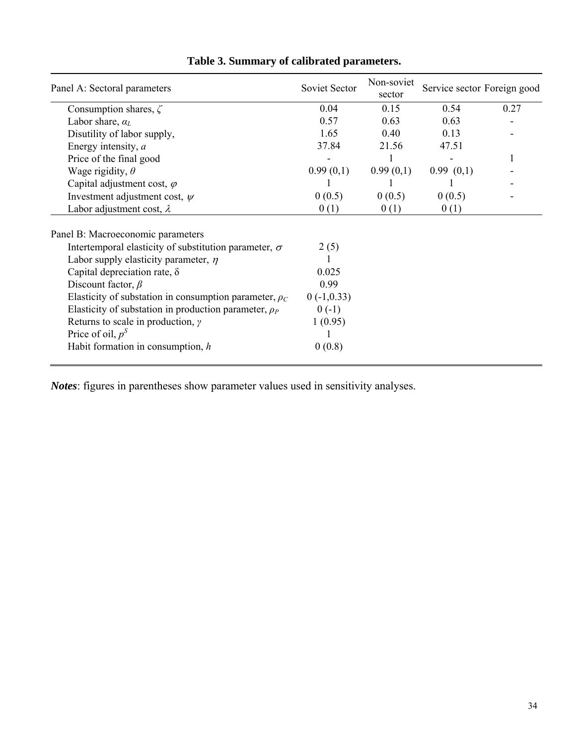| Panel A: Sectoral parameters                                 | Soviet Sector | Non-soviet<br>sector | Service sector Foreign good |      |  |
|--------------------------------------------------------------|---------------|----------------------|-----------------------------|------|--|
| Consumption shares, $\zeta$                                  | 0.04          | 0.15                 | 0.54                        | 0.27 |  |
| Labor share, $a_L$                                           | 0.57          | 0.63                 | 0.63                        |      |  |
| Disutility of labor supply,                                  | 1.65          | 0.40                 | 0.13                        |      |  |
| Energy intensity, a                                          | 37.84         | 21.56                | 47.51                       |      |  |
| Price of the final good                                      |               |                      |                             |      |  |
| Wage rigidity, $\theta$                                      | 0.99(0,1)     | 0.99(0,1)            | 0.99(0,1)                   |      |  |
| Capital adjustment cost, $\varphi$                           |               |                      |                             |      |  |
| Investment adjustment cost, $\psi$                           | 0(0.5)        | 0(0.5)               | 0(0.5)                      |      |  |
| Labor adjustment cost, $\lambda$                             | 0(1)          | 0(1)                 | 0(1)                        |      |  |
| Panel B: Macroeconomic parameters                            |               |                      |                             |      |  |
| Intertemporal elasticity of substitution parameter, $\sigma$ | 2(5)          |                      |                             |      |  |
| Labor supply elasticity parameter, $\eta$                    |               |                      |                             |      |  |
| Capital depreciation rate, $\delta$                          | 0.025         |                      |                             |      |  |
| Discount factor, $\beta$                                     | 0.99          |                      |                             |      |  |
| Elasticity of substation in consumption parameter, $\rho_c$  | $0(-1,0.33)$  |                      |                             |      |  |
| Elasticity of substation in production parameter, $\rho_P$   | $0(-1)$       |                      |                             |      |  |
| Returns to scale in production, $\gamma$                     | 1(0.95)       |                      |                             |      |  |
| Price of oil, $p^S$                                          |               |                      |                             |      |  |
| Habit formation in consumption, $h$                          | 0(0.8)        |                      |                             |      |  |

# **Table 3. Summary of calibrated parameters.**

*Notes*: figures in parentheses show parameter values used in sensitivity analyses.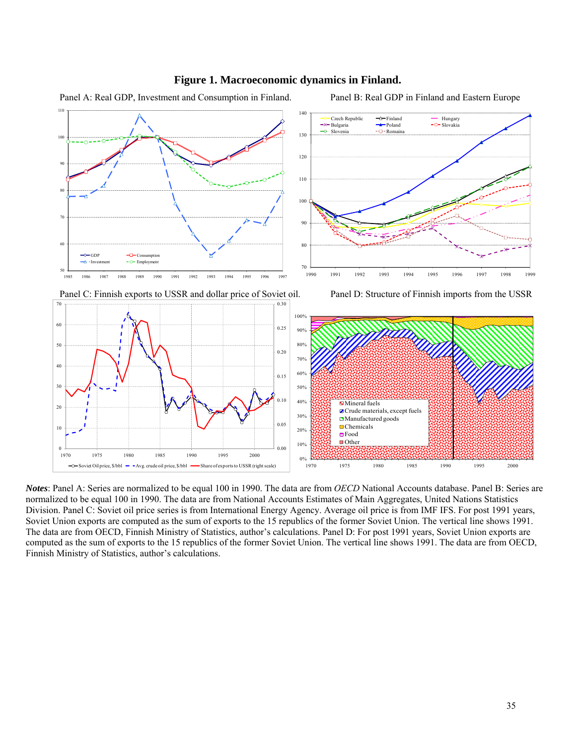

#### **Figure 1. Macroeconomic dynamics in Finland.**

Panel A: Real GDP, Investment and Consumption in Finland. Panel B: Real GDP in Finland and Eastern Europe

*Notes*: Panel A: Series are normalized to be equal 100 in 1990. The data are from *OECD* National Accounts database. Panel B: Series are normalized to be equal 100 in 1990. The data are from National Accounts Estimates of Main Aggregates, United Nations Statistics Division. Panel C: Soviet oil price series is from International Energy Agency. Average oil price is from IMF IFS. For post 1991 years, Soviet Union exports are computed as the sum of exports to the 15 republics of the former Soviet Union. The vertical line shows 1991. The data are from OECD, Finnish Ministry of Statistics, author's calculations. Panel D: For post 1991 years, Soviet Union exports are computed as the sum of exports to the 15 republics of the former Soviet Union. The vertical line shows 1991. The data are from OECD, Finnish Ministry of Statistics, author's calculations.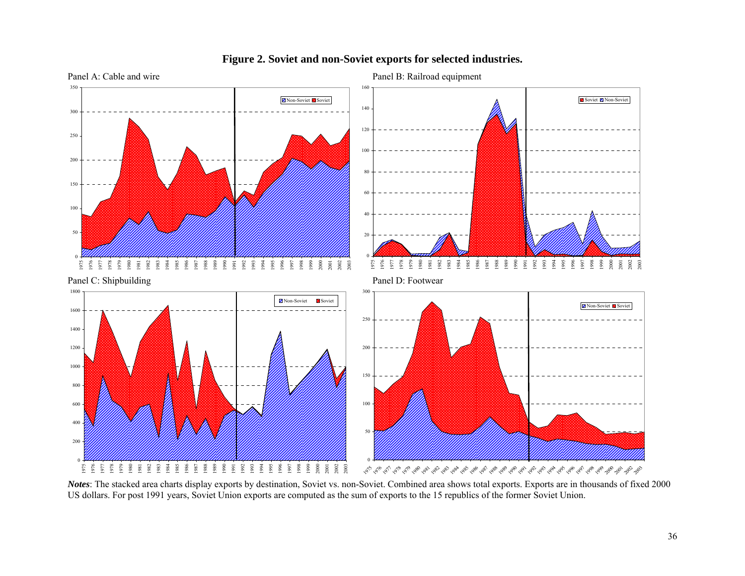

#### **Figure 2. Soviet and non-Soviet exports for selected industries.**

*Notes*: The stacked area charts display exports by destination, Soviet vs. non-Soviet. Combined area shows total exports. Exports are in thousands of fixed 2000 US dollars. For post 1991 years, Soviet Union exports are computed as the sum of exports to the 15 republics of the former Soviet Union.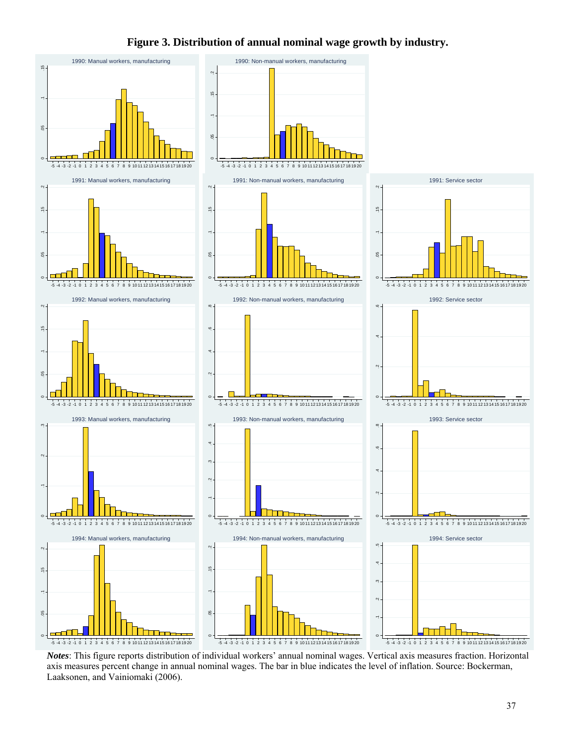## **Figure 3. Distribution of annual nominal wage growth by industry.**



axis measures percent change in annual nominal wages. The bar in blue indicates the level of inflation. Source: Bockerman, Laaksonen, and Vainiomaki (2006).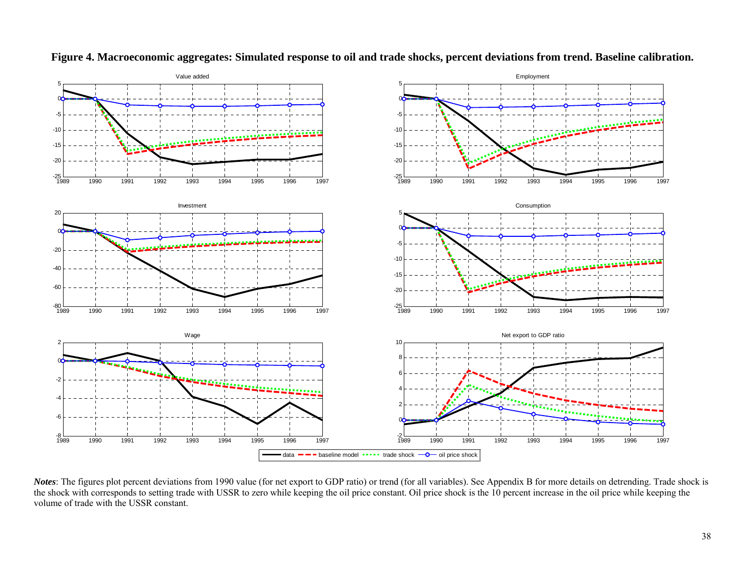

**Figure 4. Macroeconomic aggregates: Simulated response to oil and trade shocks, percent deviations from trend. Baseline calibration.** 

*Notes*: The figures plot percent deviations from 1990 value (for net export to GDP ratio) or trend (for all variables). See Appendix B for more details on detrending. Trade shock is the shock with corresponds to setting trade with USSR to zero while keeping the oil price constant. Oil price shock is the 10 percent increase in the oil price while keeping the volume of trade with the USSR constant.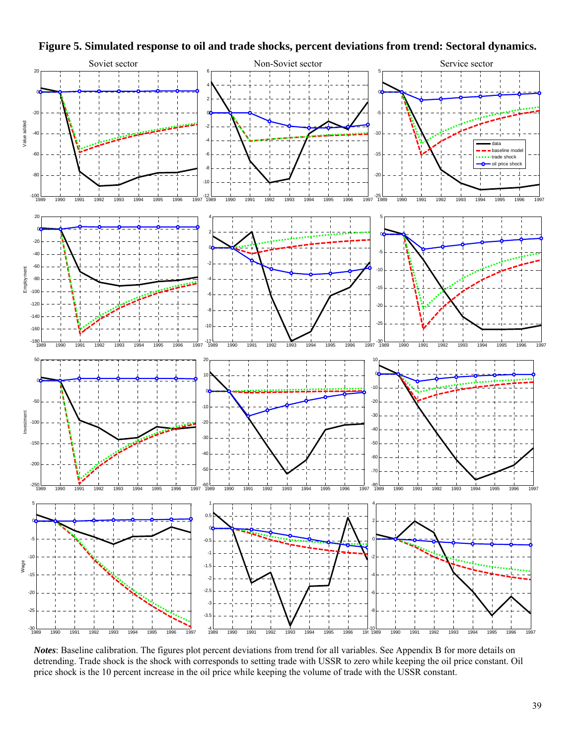

**Figure 5. Simulated response to oil and trade shocks, percent deviations from trend: Sectoral dynamics.** 

*Notes*: Baseline calibration. The figures plot percent deviations from trend for all variables. See Appendix B for more details on detrending. Trade shock is the shock with corresponds to setting trade with USSR to zero while keeping the oil price constant. Oil price shock is the 10 percent increase in the oil price while keeping the volume of trade with the USSR constant.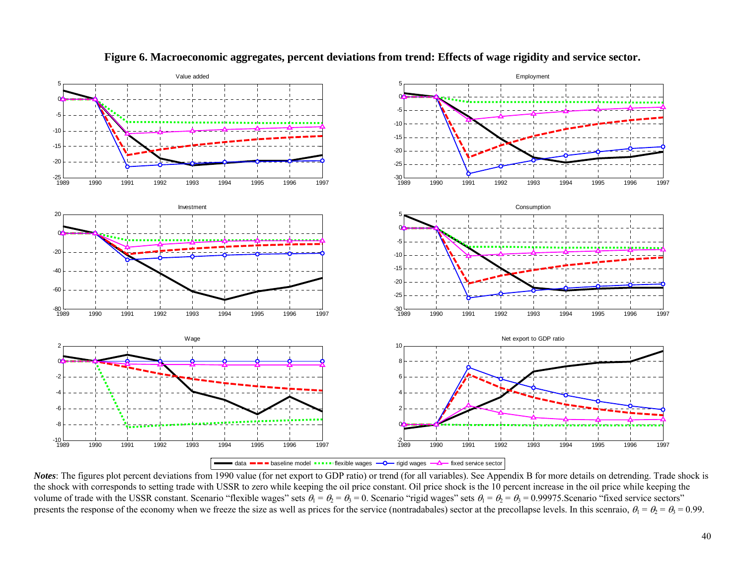

**Figure 6. Macroeconomic aggregates, percent deviations from trend: Effects of wage rigidity and service sector.** 

*Notes*: The figures plot percent deviations from 1990 value (for net export to GDP ratio) or trend (for all variables). See Appendix B for more details on detrending. Trade shock is the shock with corresponds to setting trade with USSR to zero while keeping the oil price constant. Oil price shock is the 10 percent increase in the oil price while keeping the volume of trade with the USSR constant. Scenario "flexible wages" sets  $\theta_1 = \theta_2 = \theta_3 = 0$ . Scenario "rigid wages" sets  $\theta_1 = \theta_2 = \theta_3 = 0.99975$ . Scenario "fixed service sectors" presents the response of the economy when we freeze the size as well as prices for the service (nontradabales) sector at the precollapse levels. In this scenraio,  $\theta_1 = \theta_2 = \theta_3 = 0.99$ .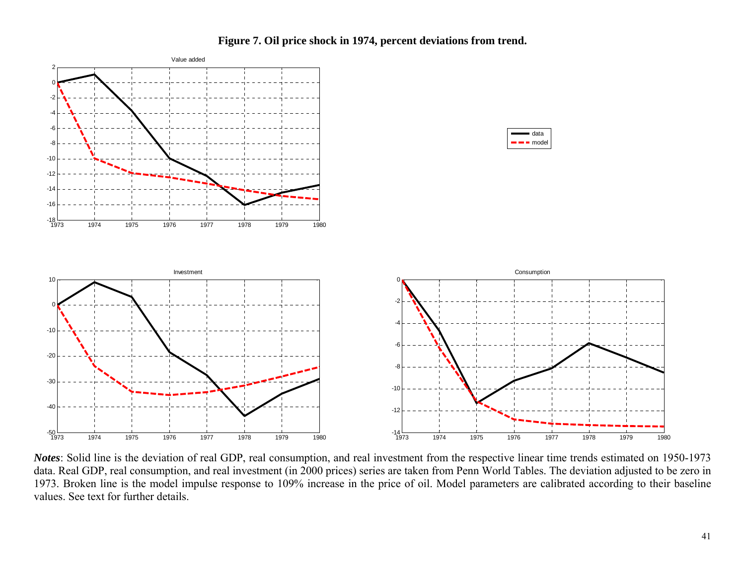

**Figure 7. Oil price shock in 1974, percent deviations from trend.** 

*Notes*: Solid line is the deviation of real GDP, real consumption, and real investment from the respective linear time trends estimated on 1950-1973 data. Real GDP, real consumption, and real investment (in 2000 prices) series are taken from Penn World Tables. The deviation adjusted to be zero in 1973. Broken line is the model impulse response to 109% increase in the price of oil. Model parameters are calibrated according to their baseline values. See text for further details.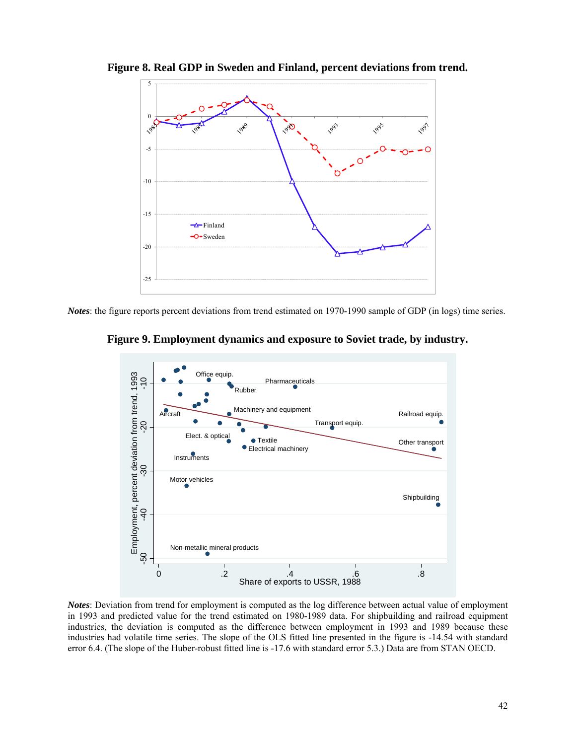

**Figure 8. Real GDP in Sweden and Finland, percent deviations from trend.** 

*Notes*: the figure reports percent deviations from trend estimated on 1970-1990 sample of GDP (in logs) time series.





*Notes*: Deviation from trend for employment is computed as the log difference between actual value of employment in 1993 and predicted value for the trend estimated on 1980-1989 data. For shipbuilding and railroad equipment industries, the deviation is computed as the difference between employment in 1993 and 1989 because these industries had volatile time series. The slope of the OLS fitted line presented in the figure is -14.54 with standard error 6.4. (The slope of the Huber-robust fitted line is -17.6 with standard error 5.3.) Data are from STAN OECD.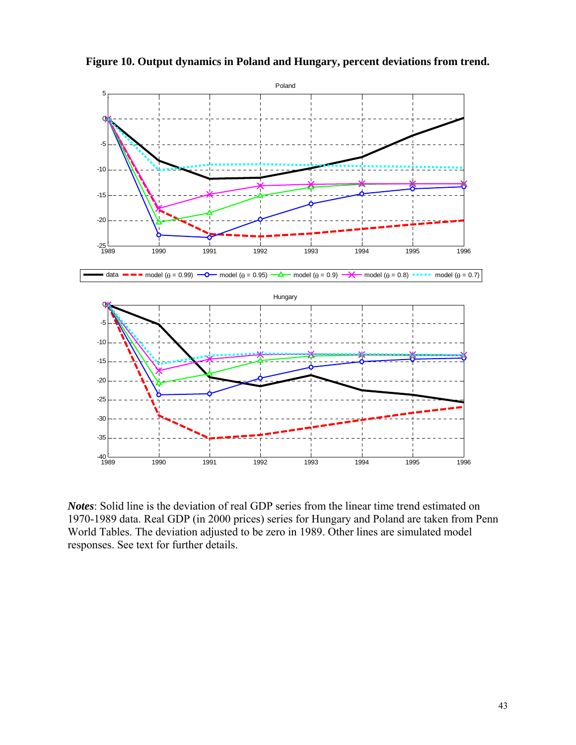

**Figure 10. Output dynamics in Poland and Hungary, percent deviations from trend.** 

*Notes*: Solid line is the deviation of real GDP series from the linear time trend estimated on 1970-1989 data. Real GDP (in 2000 prices) series for Hungary and Poland are taken from Penn World Tables. The deviation adjusted to be zero in 1989. Other lines are simulated model responses. See text for further details.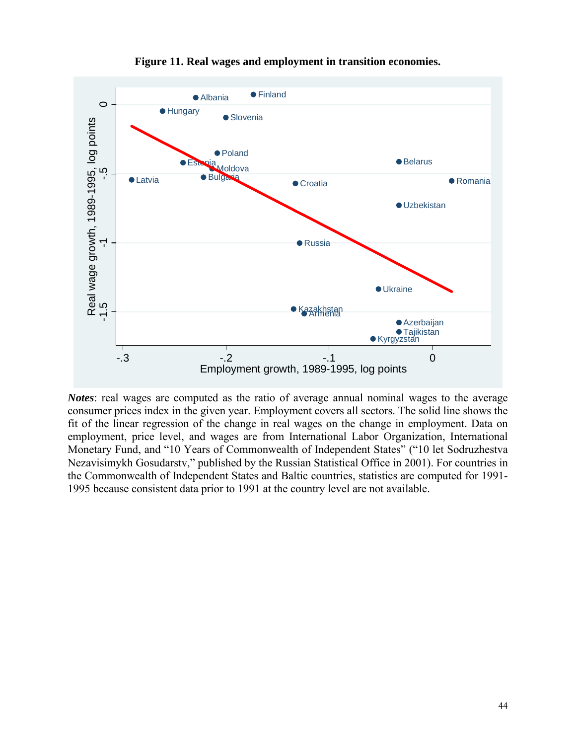

**Figure 11. Real wages and employment in transition economies.** 

*Notes*: real wages are computed as the ratio of average annual nominal wages to the average consumer prices index in the given year. Employment covers all sectors. The solid line shows the fit of the linear regression of the change in real wages on the change in employment. Data on employment, price level, and wages are from International Labor Organization, International Monetary Fund, and "10 Years of Commonwealth of Independent States" ("10 let Sodruzhestva Nezavisimykh Gosudarstv," published by the Russian Statistical Office in 2001). For countries in the Commonwealth of Independent States and Baltic countries, statistics are computed for 1991- 1995 because consistent data prior to 1991 at the country level are not available.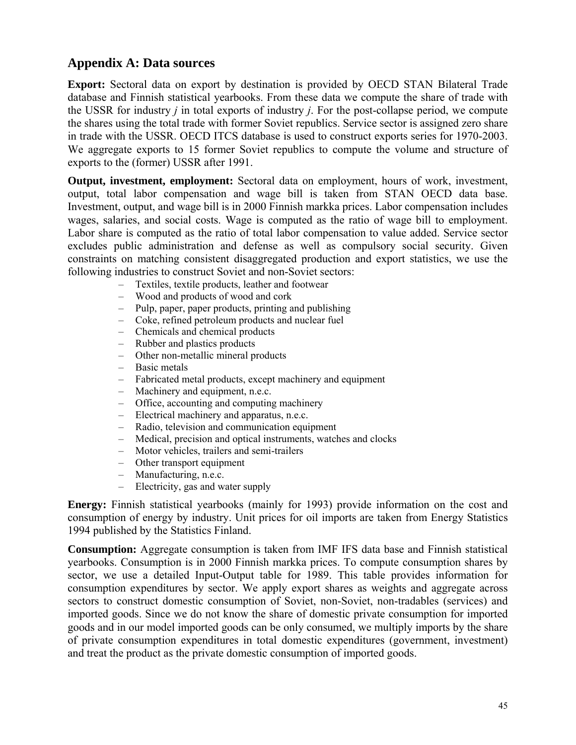# **Appendix A: Data sources**

**Export:** Sectoral data on export by destination is provided by OECD STAN Bilateral Trade database and Finnish statistical yearbooks. From these data we compute the share of trade with the USSR for industry *j* in total exports of industry *j*. For the post-collapse period, we compute the shares using the total trade with former Soviet republics. Service sector is assigned zero share in trade with the USSR. OECD ITCS database is used to construct exports series for 1970-2003. We aggregate exports to 15 former Soviet republics to compute the volume and structure of exports to the (former) USSR after 1991.

**Output, investment, employment:** Sectoral data on employment, hours of work, investment, output, total labor compensation and wage bill is taken from STAN OECD data base. Investment, output, and wage bill is in 2000 Finnish markka prices. Labor compensation includes wages, salaries, and social costs. Wage is computed as the ratio of wage bill to employment. Labor share is computed as the ratio of total labor compensation to value added. Service sector excludes public administration and defense as well as compulsory social security. Given constraints on matching consistent disaggregated production and export statistics, we use the following industries to construct Soviet and non-Soviet sectors:

- Textiles, textile products, leather and footwear
- Wood and products of wood and cork
- Pulp, paper, paper products, printing and publishing
- Coke, refined petroleum products and nuclear fuel
- Chemicals and chemical products
- Rubber and plastics products
- Other non-metallic mineral products
- Basic metals
- Fabricated metal products, except machinery and equipment
- Machinery and equipment, n.e.c.
- Office, accounting and computing machinery
- Electrical machinery and apparatus, n.e.c.
- Radio, television and communication equipment
- Medical, precision and optical instruments, watches and clocks
- Motor vehicles, trailers and semi-trailers
- Other transport equipment
- Manufacturing, n.e.c.
- Electricity, gas and water supply

**Energy:** Finnish statistical yearbooks (mainly for 1993) provide information on the cost and consumption of energy by industry. Unit prices for oil imports are taken from Energy Statistics 1994 published by the Statistics Finland.

**Consumption:** Aggregate consumption is taken from IMF IFS data base and Finnish statistical yearbooks. Consumption is in 2000 Finnish markka prices. To compute consumption shares by sector, we use a detailed Input-Output table for 1989. This table provides information for consumption expenditures by sector. We apply export shares as weights and aggregate across sectors to construct domestic consumption of Soviet, non-Soviet, non-tradables (services) and imported goods. Since we do not know the share of domestic private consumption for imported goods and in our model imported goods can be only consumed, we multiply imports by the share of private consumption expenditures in total domestic expenditures (government, investment) and treat the product as the private domestic consumption of imported goods.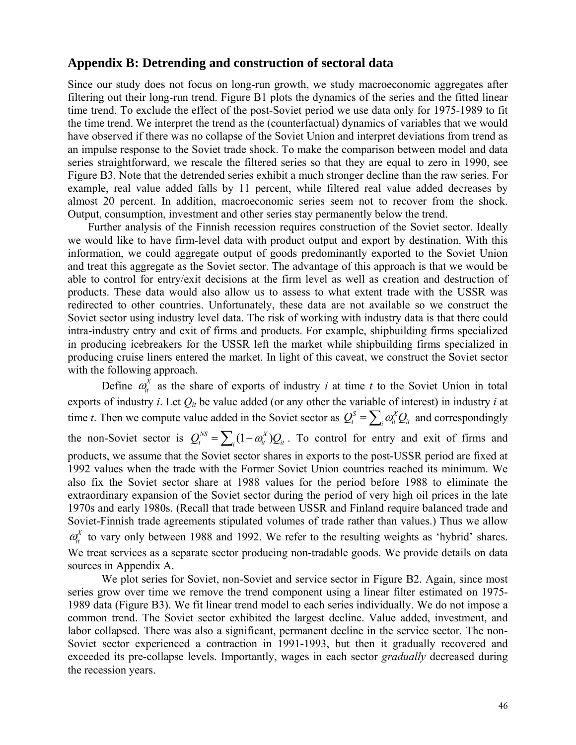## **Appendix B: Detrending and construction of sectoral data**

Since our study does not focus on long-run growth, we study macroeconomic aggregates after filtering out their long-run trend. Figure B1 plots the dynamics of the series and the fitted linear time trend. To exclude the effect of the post-Soviet period we use data only for 1975-1989 to fit the time trend. We interpret the trend as the (counterfactual) dynamics of variables that we would have observed if there was no collapse of the Soviet Union and interpret deviations from trend as an impulse response to the Soviet trade shock. To make the comparison between model and data series straightforward, we rescale the filtered series so that they are equal to zero in 1990, see Figure B3. Note that the detrended series exhibit a much stronger decline than the raw series. For example, real value added falls by 11 percent, while filtered real value added decreases by almost 20 percent. In addition, macroeconomic series seem not to recover from the shock. Output, consumption, investment and other series stay permanently below the trend.

Further analysis of the Finnish recession requires construction of the Soviet sector. Ideally we would like to have firm-level data with product output and export by destination. With this information, we could aggregate output of goods predominantly exported to the Soviet Union and treat this aggregate as the Soviet sector. The advantage of this approach is that we would be able to control for entry/exit decisions at the firm level as well as creation and destruction of products. These data would also allow us to assess to what extent trade with the USSR was redirected to other countries. Unfortunately, these data are not available so we construct the Soviet sector using industry level data. The risk of working with industry data is that there could intra-industry entry and exit of firms and products. For example, shipbuilding firms specialized in producing icebreakers for the USSR left the market while shipbuilding firms specialized in producing cruise liners entered the market. In light of this caveat, we construct the Soviet sector with the following approach.

Define  $\alpha_i^X$  as the share of exports of industry *i* at time *t* to the Soviet Union in total exports of industry *i*. Let *Qit* be value added (or any other the variable of interest) in industry *i* at time *t*. Then we compute value added in the Soviet sector as  $Q_t^S = \sum_i \omega_i^X Q_i$  and correspondingly the non-Soviet sector is  $Q_t^{NS} = \sum_i (1 - \omega_{it}^X) Q_{it}$ . To control for entry and exit of firms and products, we assume that the Soviet sector shares in exports to the post-USSR period are fixed at 1992 values when the trade with the Former Soviet Union countries reached its minimum. We also fix the Soviet sector share at 1988 values for the period before 1988 to eliminate the extraordinary expansion of the Soviet sector during the period of very high oil prices in the late 1970s and early 1980s. (Recall that trade between USSR and Finland require balanced trade and Soviet-Finnish trade agreements stipulated volumes of trade rather than values.) Thus we allow  $\alpha_h^X$  to vary only between 1988 and 1992. We refer to the resulting weights as 'hybrid' shares. We treat services as a separate sector producing non-tradable goods. We provide details on data sources in Appendix A.

We plot series for Soviet, non-Soviet and service sector in Figure B2. Again, since most series grow over time we remove the trend component using a linear filter estimated on 1975- 1989 data (Figure B3). We fit linear trend model to each series individually. We do not impose a common trend. The Soviet sector exhibited the largest decline. Value added, investment, and labor collapsed. There was also a significant, permanent decline in the service sector. The non-Soviet sector experienced a contraction in 1991-1993, but then it gradually recovered and exceeded its pre-collapse levels. Importantly, wages in each sector *gradually* decreased during the recession years.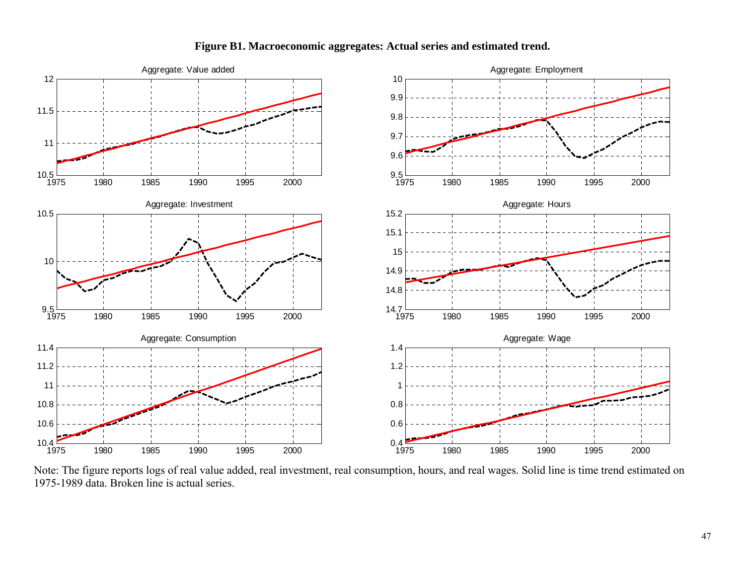

## **Figure B1. Macroeconomic aggregates: Actual series and estimated trend.**

Note: The figure reports logs of real value added, real investment, real consumption, hours, and real wages. Solid line is time trend estimated on 1975-1989 data. Broken line is actual series.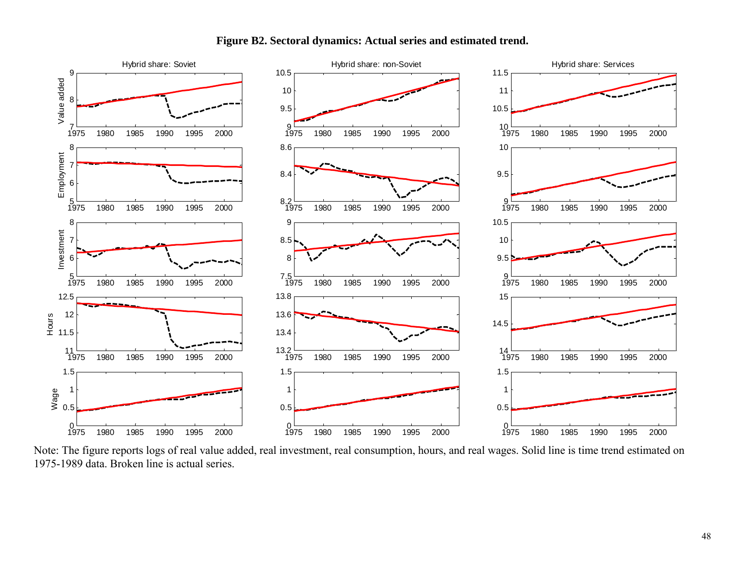



Note: The figure reports logs of real value added, real investment, real consumption, hours, and real wages. Solid line is time trend estimated on 1975-1989 data. Broken line is actual series.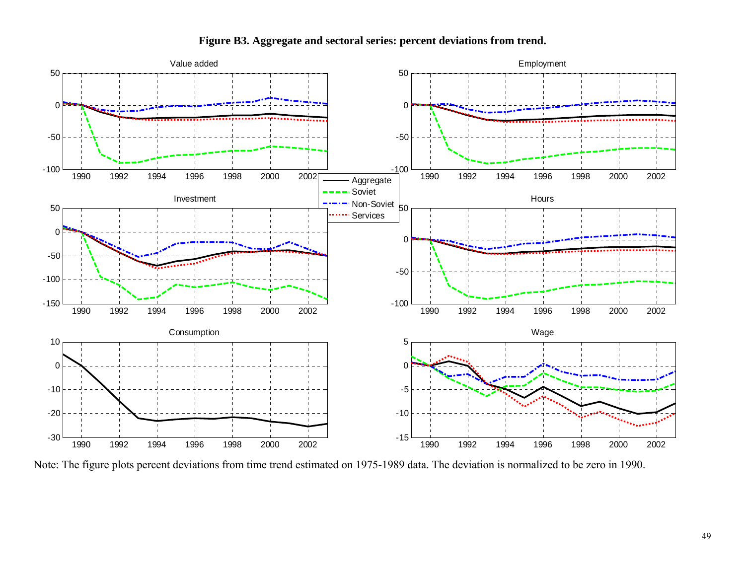

**Figure B3. Aggregate and sectoral series: percent deviations from trend.** 

Note: The figure plots percent deviations from time trend estimated on 1975-1989 data. The deviation is normalized to be zero in 1990.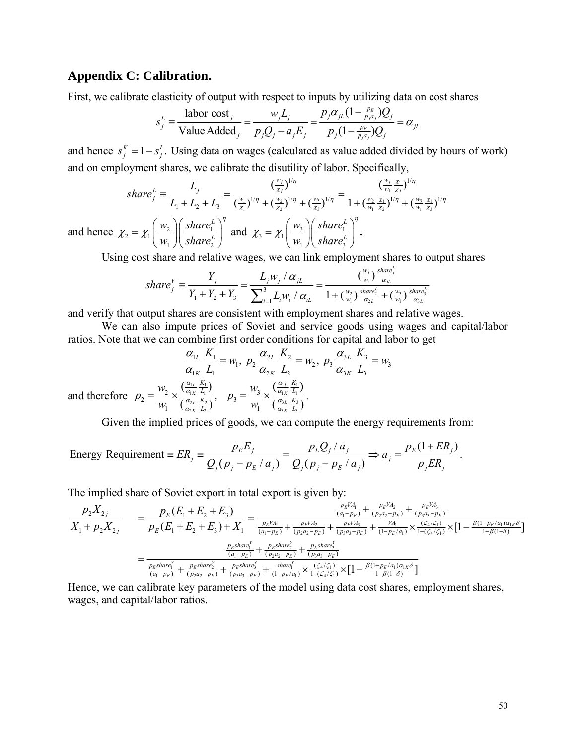# **Appendix C: Calibration.**

First, we calibrate elasticity of output with respect to inputs by utilizing data on cost shares

$$
s_j^L \equiv \frac{\text{labor cost}_j}{\text{Value added}_j} = \frac{w_j L_j}{p_j Q_j - a_j E_j} = \frac{p_j \alpha_{jL} (1 - \frac{p_E}{p_j a_j}) Q_j}{p_j (1 - \frac{p_E}{p_j a_j}) Q_j} = \alpha_{jL}
$$

and hence  $s_j^K = 1 - s_j^L$ . Using data on wages (calculated as value added divided by hours of work) and on employment shares, we calibrate the disutility of labor. Specifically,

$$
share_j^L \equiv \frac{L_j}{L_1 + L_2 + L_3} = \frac{\left(\frac{w_j}{\chi_j}\right)^{1/\eta}}{\left(\frac{w_1}{\chi_1}\right)^{1/\eta} + \left(\frac{w_2}{\chi_2}\right)^{1/\eta} + \left(\frac{w_3}{\chi_3}\right)^{1/\eta}} = \frac{\left(\frac{w_j}{w_1} \frac{\chi_1}{\chi_j}\right)^{1/\eta}}{1 + \left(\frac{w_2}{w_1} \frac{\chi_1}{\chi_2}\right)^{1/\eta} + \left(\frac{w_3}{w_1} \frac{\chi_1}{\chi_3}\right)^{1/\eta}}
$$
  

$$
\chi_2 = \chi_1 \left(\frac{w_2}{w_1} \right) \left(\frac{share_j^L}{1 + \frac{1}{w_1} \frac{\chi_1}{\chi_3}}\right)^{\eta} \text{ and } \chi_3 = \chi_1 \left(\frac{w_3}{1 + \frac{1}{w_1} \frac{\chi_1}{\chi_3}}\right)^{\eta}.
$$

and hence  $\chi_2 = \chi_1 \frac{W_2}{W_1} \frac{S}{W_2} \frac{S}{W_1} \frac{S}{W_2}$  $_1$  /  $\vee$   $\mathbf{u}_1$   $\mathbf{c}_2$ *L*  $\chi_2 = \chi_1 \left( \frac{1}{w_1} \right) \left( \frac{1}{\text{share}} \right)$  $= \chi_1 \left(\frac{w_2}{w_1}\right) \left(\frac{share_1^L}{share_2^L}\right)^{\eta}$  and  $\chi_3 = \chi_1 \left(\frac{w_3}{w_1}\right) \left(\frac{share_1^L}{share_3^L}\right)$  $_1$  /  $\backslash$  snure<sub>3</sub> *L*  $\chi_3 = \chi_1 \left( \frac{\partial}{\partial v_1} \right) \left( \frac{\partial}{\partial u} \right)$  $= \chi_1\left(\frac{w_3}{w_1}\right)\left(\frac{share_1^L}{share_3^L}\right)$ 

Using cost share and relative wages, we can link employment shares to output shares

$$
share_j^Y \equiv \frac{Y_j}{Y_1 + Y_2 + Y_3} = \frac{L_j w_j / \alpha_{jL}}{\sum_{i=1}^3 L_i w_i / \alpha_{iL}} = \frac{(\frac{w_j}{w_1}) \frac{share_j^L}{\alpha_{jL}}}{1 + (\frac{w_2}{w_1}) \frac{share_j^L}{\alpha_{2L}} + (\frac{w_3}{w_1}) \frac{share_j^L}{\alpha_{3L}}}
$$

and verify that output shares are consistent with employment shares and relative wages.

We can also impute prices of Soviet and service goods using wages and capital/labor ratios. Note that we can combine first order conditions for capital and labor to get

$$
\frac{\alpha_{1L}}{\alpha_{1K}} \frac{K_1}{L_1} = w_1, \ p_2 \frac{\alpha_{2L}}{\alpha_{2K}} \frac{K_2}{L_2} = w_2, \ p_3 \frac{\alpha_{3L}}{\alpha_{3K}} \frac{K_3}{L_3} = w_3
$$
\nand therefore 
$$
p_2 = \frac{w_2}{w_1} \times \frac{\left(\frac{\alpha_{1L}}{\alpha_{1K}} \frac{K_1}{L_1}\right)}{\left(\frac{\alpha_{2L}}{\alpha_{2K}} \frac{K_2}{L_2}\right)}, \quad p_3 = \frac{w_3}{w_1} \times \frac{\left(\frac{\alpha_{1L}}{\alpha_{1K}} \frac{K_1}{L_1}\right)}{\left(\frac{\alpha_{3L}}{\alpha_{3K}} \frac{K_3}{L_3}\right)}.
$$

Given the implied prices of goods, we can compute the energy requirements from:

Energy Requirements = 
$$
ER_j = \frac{p_E E_j}{Q_j (p_j - p_E / a_j)} = \frac{p_E Q_j / a_j}{Q_j (p_j - p_E / a_j)} \Rightarrow a_j = \frac{p_E (1 + ER_j)}{p_j ER_j}.
$$

The implied share of Soviet export in total export is given by:

$$
\frac{p_{z}X_{2j}}{X_{1} + p_{2}X_{2j}} = \frac{p_{E}(E_{1} + E_{2} + E_{3})}{p_{E}(E_{1} + E_{2} + E_{3}) + X_{1}} = \frac{\frac{p_{E}V_{A_{1}}}{(a_{1} - p_{E})} + \frac{p_{E}V_{A_{2}}}{(p_{2}a_{2} - p_{E})} + \frac{p_{E}V_{A_{3}}}{(p_{3}a_{3} - p_{E})}}{\frac{p_{E}B_{2}}{(a_{1} - p_{E})} + \frac{p_{E}V_{A_{2}}}{(p_{3}a_{3} - p_{E})} + \frac{p_{A_{1}}}{(p_{3}a_{3} - p_{E})} + \frac{p_{A_{1}}}{(1 - p_{E}/a_{1})} \times \frac{(z_{4}/\zeta_{1})}{1 + (z_{4}/\zeta_{1})} \times [1 - \frac{\beta(1 - p_{E}/a_{1})\alpha_{1}\zeta}{1 - \beta(1 - \delta)}]}{\frac{p_{E}share_{1}^{Y}}{(a_{1} - p_{E})} + \frac{p_{E}share_{2}^{Y}}{(p_{2}a_{2} - p_{E})} + \frac{p_{E}share_{3}^{Y}}{(p_{3}a_{3} - p_{E})}}
$$
\n
$$
= \frac{\frac{p_{E}share_{1}^{Y}}{(a_{1} - p_{E})} + \frac{p_{E}share_{2}^{Y}}{(p_{3}a_{3} - p_{E})} + \frac{p_{E}share_{3}^{Y}}{(p_{3}a_{3} - p_{E})} + \frac{share_{1}^{Y}}{(1 - p_{E}/a_{1})} \times \frac{(z_{4}/\zeta_{1})}{1 + (z_{4}/\zeta_{1})} \times [1 - \frac{\beta(1 - p_{E}/a_{1})\alpha_{1}\zeta}{1 - \beta(1 - \delta)}]
$$

Hence, we can calibrate key parameters of the model using data cost shares, employment shares, wages, and capital/labor ratios.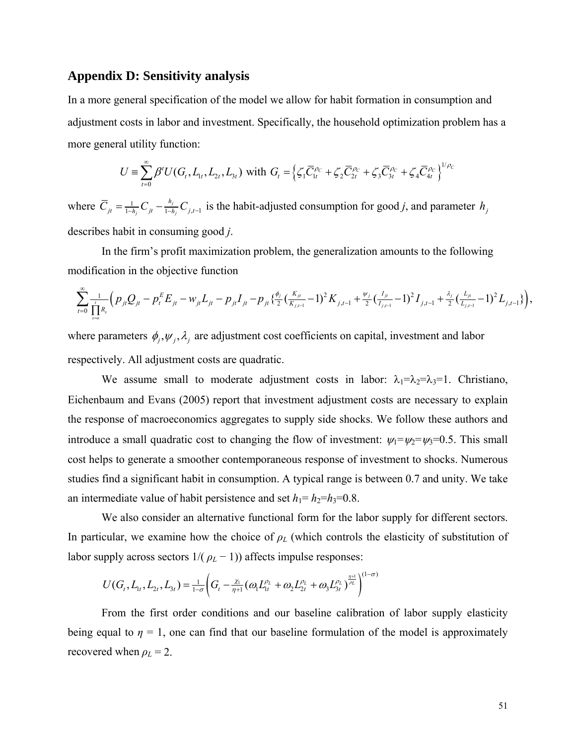#### **Appendix D: Sensitivity analysis**

In a more general specification of the model we allow for habit formation in consumption and adjustment costs in labor and investment. Specifically, the household optimization problem has a more general utility function:

$$
U = \sum_{t=0}^{\infty} \beta^{t} U(G_{t}, L_{1t}, L_{2t}, L_{3t}) \text{ with } G_{t} = \left\{ \zeta_{1} \overline{C}_{1t}^{\rho_{C}} + \zeta_{2} \overline{C}_{2t}^{\rho_{C}} + \zeta_{3} \overline{C}_{3t}^{\rho_{C}} + \zeta_{4} \overline{C}_{4t}^{\rho_{C}} \right\}^{1/\rho_{C}}
$$

where  $C_{it} = \frac{1}{1-h_i} C_{it} - \frac{n_j}{1-h_i} C_{i,t-1}$ *j j*  $\overline{C}_{jt} = \frac{1}{1-h_i} C_{jt} - \frac{h_i}{1-h_i} C_{j,t-1}$  is the habit-adjusted consumption for good *j*, and parameter  $h_j$ describes habit in consuming good *j*.

In the firm's profit maximization problem, the generalization amounts to the following modification in the objective function

$$
\sum_{t=0}^{\infty} \frac{1}{\prod_{s=0}^{t} R_s} \Big( p_{jt} Q_{jt} - p_t^E E_{jt} - w_{jt} L_{jt} - p_{jt} I_{jt} - p_{jt} \frac{\phi_j}{2} (\frac{K_{jt}}{K_{j,t-1}} - 1)^2 K_{j,t-1} + \frac{\psi_j}{2} (\frac{I_{jt}}{I_{j,t-1}} - 1)^2 I_{j,t-1} + \frac{\lambda_j}{2} (\frac{L_{jt}}{L_{j,t-1}} - 1)^2 L_{j,t-1} \Big),
$$

where parameters  $\phi_i, \psi_j, \lambda_j$  are adjustment cost coefficients on capital, investment and labor respectively. All adjustment costs are quadratic.

We assume small to moderate adjustment costs in labor:  $\lambda_1 = \lambda_2 = \lambda_3 = 1$ . Christiano, Eichenbaum and Evans (2005) report that investment adjustment costs are necessary to explain the response of macroeconomics aggregates to supply side shocks. We follow these authors and introduce a small quadratic cost to changing the flow of investment:  $\psi_1=\psi_2=\psi_3=0.5$ . This small cost helps to generate a smoother contemporaneous response of investment to shocks. Numerous studies find a significant habit in consumption. A typical range is between 0.7 and unity. We take an intermediate value of habit persistence and set  $h_1 = h_2 = h_3 = 0.8$ .

We also consider an alternative functional form for the labor supply for different sectors. In particular, we examine how the choice of  $\rho$ <sup>L</sup> (which controls the elasticity of substitution of labor supply across sectors  $1/(\rho_L - 1)$ ) affects impulse responses:

$$
U(G_t, L_{1t}, L_{2t}, L_{3t}) = \frac{1}{1-\sigma} \Big( G_t - \frac{\chi_1}{\eta+1} (\omega_1 L_{1t}^{\rho_L} + \omega_2 L_{2t}^{\rho_L} + \omega_3 L_{3t}^{\rho_L})^{\frac{\eta+1}{\rho_L}} \Big)^{(1-\sigma)}
$$

From the first order conditions and our baseline calibration of labor supply elasticity being equal to  $\eta = 1$ , one can find that our baseline formulation of the model is approximately recovered when  $\rho_L = 2$ .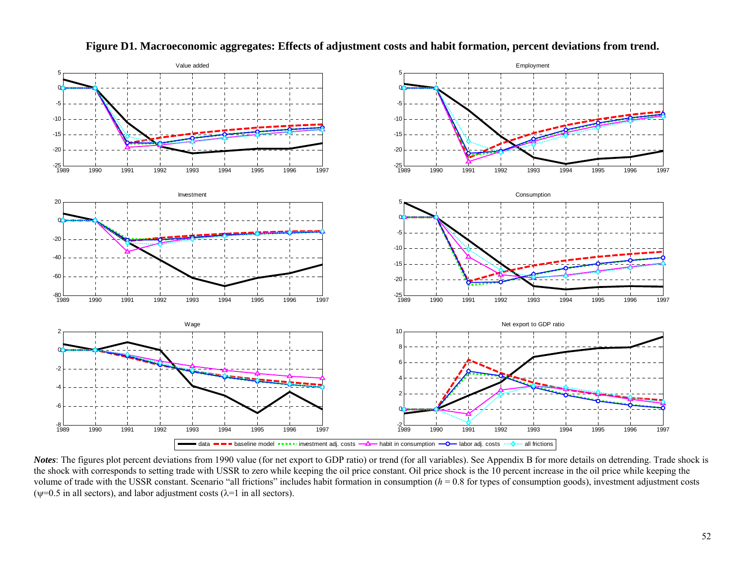

**Figure D1. Macroeconomic aggregates: Effects of adjustment costs and habit formation, percent deviations from trend.** 

*Notes*: The figures plot percent deviations from 1990 value (for net export to GDP ratio) or trend (for all variables). See Appendix B for more details on detrending. Trade shock is the shock with corresponds to setting trade with USSR to zero while keeping the oil price constant. Oil price shock is the 10 percent increase in the oil price while keeping the volume of trade with the USSR constant. Scenario "all frictions" includes habit formation in consumption  $(h = 0.8$  for types of consumption goods), investment adjustment costs ( $\psi$ =0.5 in all sectors), and labor adjustment costs ( $\lambda$ =1 in all sectors).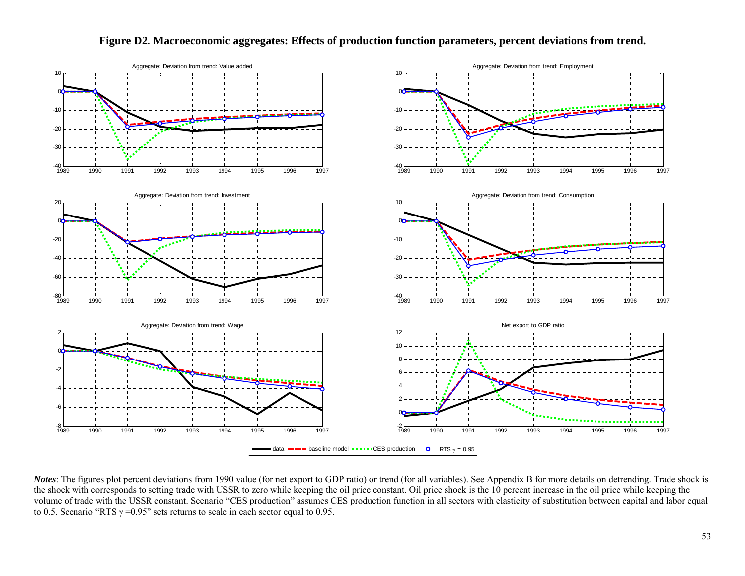

#### **Figure D2. Macroeconomic aggregates: Effects of production function parameters, percent deviations from trend.**

*Notes*: The figures plot percent deviations from 1990 value (for net export to GDP ratio) or trend (for all variables). See Appendix B for more details on detrending. Trade shock is the shock with corresponds to setting trade with USSR to zero while keeping the oil price constant. Oil price shock is the 10 percent increase in the oil price while keeping the volume of trade with the USSR constant. Scenario "CES production" assumes CES production function in all sectors with elasticity of substitution between capital and labor equal to 0.5. Scenario "RTS  $\gamma$  =0.95" sets returns to scale in each sector equal to 0.95.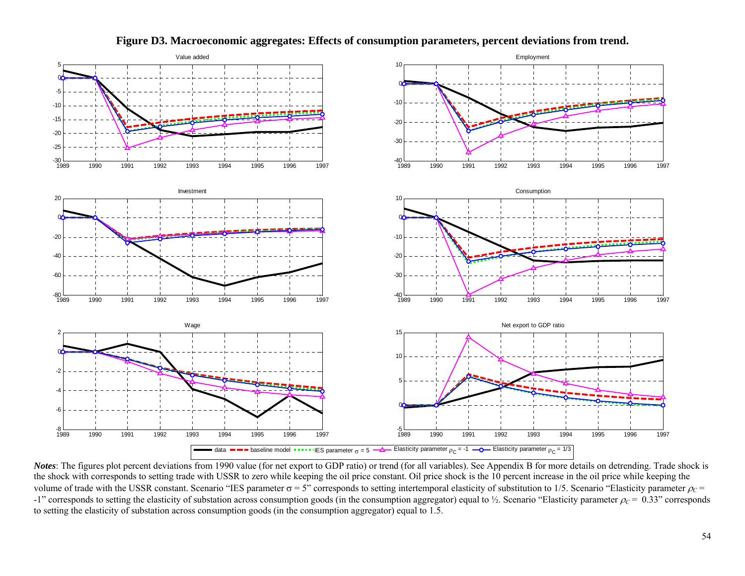

**Figure D3. Macroeconomic aggregates: Effects of consumption parameters, percent deviations from trend.** 

*Notes*: The figures plot percent deviations from 1990 value (for net export to GDP ratio) or trend (for all variables). See Appendix B for more details on detrending. Trade shock is the shock with corresponds to setting trade with USSR to zero while keeping the oil price constant. Oil price shock is the 10 percent increase in the oil price while keeping the volume of trade with the USSR constant. Scenario "IES parameter  $\sigma = 5$ " corresponds to setting intertemporal elasticity of substitution to 1/5. Scenario "Elasticity parameter  $\rho_c$  =  $-1$ " corresponds to setting the elasticity of substation across consumption goods (in the consumption aggregator) equal to  $\frac{1}{2}$ . Scenario "Elasticity parameter  $\rho_c = 0.33$ " corresponds to setting the elasticity of substation across consumption goods (in the consumption aggregator) equal to 1.5.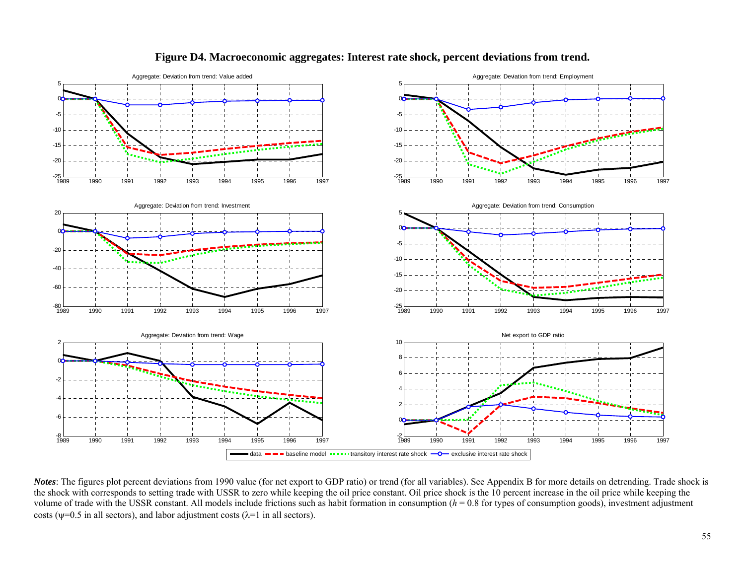

#### **Figure D4. Macroeconomic aggregates: Interest rate shock, percent deviations from trend.**

*Notes*: The figures plot percent deviations from 1990 value (for net export to GDP ratio) or trend (for all variables). See Appendix B for more details on detrending. Trade shock is the shock with corresponds to setting trade with USSR to zero while keeping the oil price constant. Oil price shock is the 10 percent increase in the oil price while keeping the volume of trade with the USSR constant. All models include frictions such as habit formation in consumption  $(h = 0.8$  for types of consumption goods), investment adjustment costs ( $\psi$ =0.5 in all sectors), and labor adjustment costs ( $\lambda$ =1 in all sectors).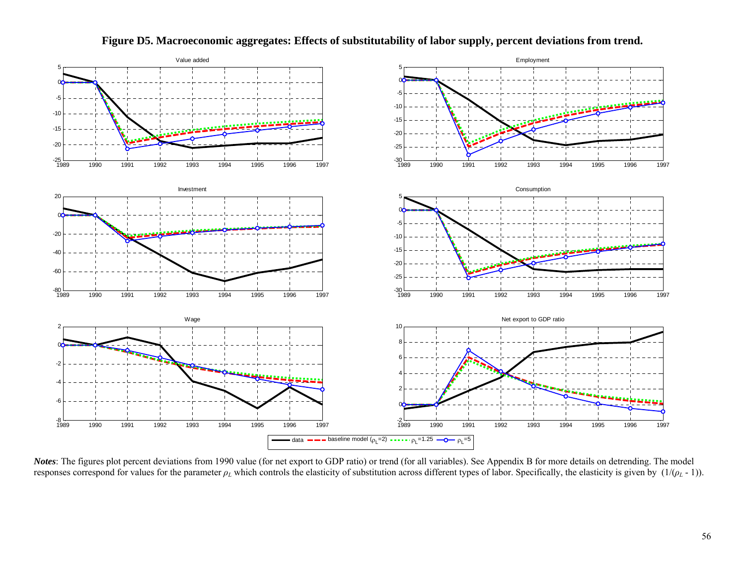

**Figure D5. Macroeconomic aggregates: Effects of substitutability of labor supply, percent deviations from trend.** 

*Notes*: The figures plot percent deviations from 1990 value (for net export to GDP ratio) or trend (for all variables). See Appendix B for more details on detrending. The model responses correspond for values for the parameter  $\rho_L$  which controls the elasticity of substitution across different types of labor. Specifically, the elasticity is given by  $(1/(\rho_L - 1))$ .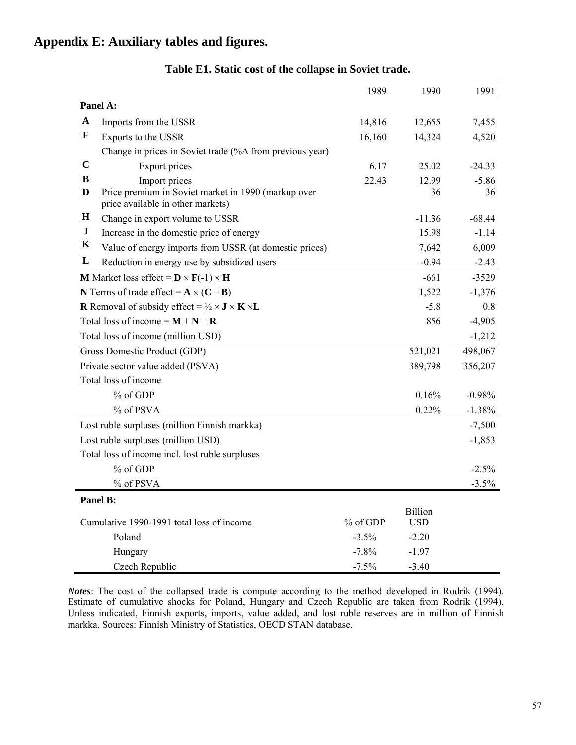# **Appendix E: Auxiliary tables and figures.**

|             |                                                                                                        | 1989     | 1990                  | 1991     |
|-------------|--------------------------------------------------------------------------------------------------------|----------|-----------------------|----------|
|             | Panel A:                                                                                               |          |                       |          |
| $\mathbf A$ | Imports from the USSR                                                                                  | 12,655   | 7,455                 |          |
| $\mathbf F$ | Exports to the USSR                                                                                    | 16,160   | 14,324                | 4,520    |
|             | Change in prices in Soviet trade (%∆ from previous year)                                               |          |                       |          |
| $\mathbf C$ | Export prices                                                                                          | 6.17     | 25.02                 | $-24.33$ |
| B           | Import prices                                                                                          | 22.43    | 12.99                 | $-5.86$  |
| D           | Price premium in Soviet market in 1990 (markup over<br>price available in other markets)               |          | 36                    | 36       |
| $\bf H$     | Change in export volume to USSR                                                                        |          | $-11.36$              | $-68.44$ |
| ${\bf J}$   | Increase in the domestic price of energy                                                               |          | 15.98                 | $-1.14$  |
| $\mathbf K$ | Value of energy imports from USSR (at domestic prices)                                                 |          | 7,642                 | 6,009    |
| L           | Reduction in energy use by subsidized users                                                            |          | $-0.94$               | $-2.43$  |
|             | <b>M</b> Market loss effect = $\mathbf{D} \times \mathbf{F}(-1) \times \mathbf{H}$                     |          | $-661$                | $-3529$  |
|             | N Terms of trade effect = $A \times (C - B)$                                                           |          | 1,522                 | $-1,376$ |
|             | <b>R</b> Removal of subsidy effect = $\frac{1}{2} \times$ <b>J</b> $\times$ <b>K</b> $\times$ <b>L</b> |          | $-5.8$                | 0.8      |
|             | Total loss of income = $M + N + R$                                                                     |          | 856                   | $-4,905$ |
|             | Total loss of income (million USD)                                                                     |          |                       | $-1,212$ |
|             | Gross Domestic Product (GDP)                                                                           |          | 521,021               | 498,067  |
|             | Private sector value added (PSVA)                                                                      |          | 389,798               | 356,207  |
|             | Total loss of income                                                                                   |          |                       |          |
|             | % of GDP                                                                                               |          | 0.16%                 | $-0.98%$ |
|             | % of PSVA                                                                                              |          | 0.22%                 | $-1.38%$ |
|             | Lost ruble surpluses (million Finnish markka)                                                          |          |                       | $-7,500$ |
|             | Lost ruble surpluses (million USD)                                                                     |          |                       | $-1,853$ |
|             | Total loss of income incl. lost ruble surpluses                                                        |          |                       |          |
|             | % of GDP                                                                                               |          |                       | $-2.5%$  |
|             | % of PSVA                                                                                              |          |                       | $-3.5%$  |
|             | Panel B:                                                                                               |          |                       |          |
|             | Cumulative 1990-1991 total loss of income                                                              | % of GDP | Billion<br><b>USD</b> |          |
|             | Poland                                                                                                 | $-3.5%$  | $-2.20$               |          |
|             | Hungary                                                                                                | $-7.8%$  | $-1.97$               |          |
|             | Czech Republic                                                                                         | $-7.5%$  | $-3.40$               |          |

# **Table E1. Static cost of the collapse in Soviet trade.**

*Notes*: The cost of the collapsed trade is compute according to the method developed in Rodrik (1994). Estimate of cumulative shocks for Poland, Hungary and Czech Republic are taken from Rodrik (1994). Unless indicated, Finnish exports, imports, value added, and lost ruble reserves are in million of Finnish markka. Sources: Finnish Ministry of Statistics, OECD STAN database.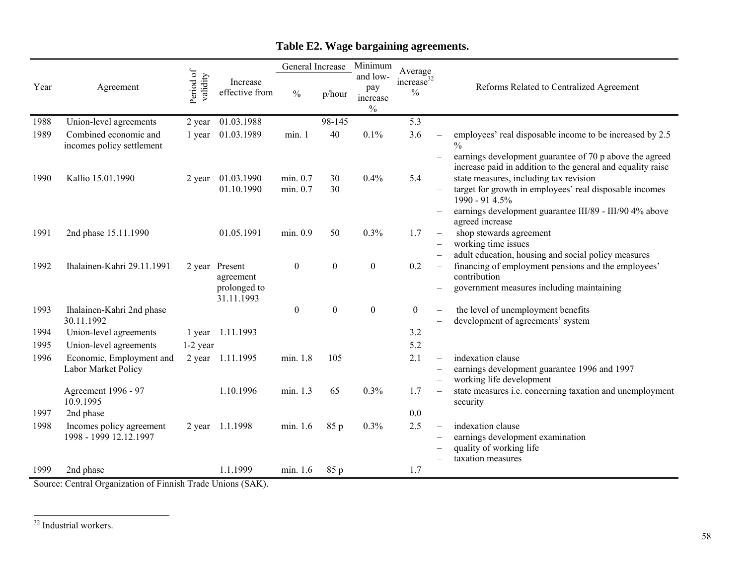|      |                                                    |                       |                            | General Increase     |                  | Minimum                                      | Average                                 |                          |                                                                                                                        |  |
|------|----------------------------------------------------|-----------------------|----------------------------|----------------------|------------------|----------------------------------------------|-----------------------------------------|--------------------------|------------------------------------------------------------------------------------------------------------------------|--|
| Year | Agreement                                          | Period of<br>validity | Increase<br>effective from | $\frac{0}{0}$        | p/hour           | and low-<br>pay<br>increase<br>$\frac{0}{0}$ | increase <sup>32</sup><br>$\frac{0}{0}$ |                          | Reforms Related to Centralized Agreement                                                                               |  |
| 1988 | Union-level agreements                             | 2 year                | 01.03.1988                 |                      | 98-145           |                                              | 5.3                                     |                          |                                                                                                                        |  |
| 1989 | Combined economic and<br>incomes policy settlement | 1 year                | 01.03.1989                 | min. 1               | 40               | 0.1%                                         | 3.6                                     |                          | employees' real disposable income to be increased by 2.5<br>$\frac{0}{0}$                                              |  |
|      |                                                    |                       |                            |                      |                  |                                              |                                         |                          | earnings development guarantee of 70 p above the agreed<br>increase paid in addition to the general and equality raise |  |
| 1990 | Kallio 15.01.1990                                  | 2 year                | 01.03.1990<br>01.10.1990   | min. 0.7<br>min. 0.7 | 30<br>30         | 0.4%                                         | 5.4                                     |                          | state measures, including tax revision<br>target for growth in employees' real disposable incomes<br>1990 - 91 4.5%    |  |
|      |                                                    |                       |                            |                      |                  |                                              |                                         |                          | earnings development guarantee III/89 - III/90 4% above<br>agreed increase                                             |  |
| 1991 | 2nd phase 15.11.1990                               |                       | 01.05.1991                 | min. 0.9             | 50               | 0.3%                                         | 1.7                                     | $\qquad \qquad -$        | shop stewards agreement                                                                                                |  |
|      |                                                    |                       |                            |                      |                  |                                              |                                         |                          | working time issues                                                                                                    |  |
| 1992 | Ihalainen-Kahri 29.11.1991                         | 2 year                | Present                    | $\boldsymbol{0}$     | $\boldsymbol{0}$ | $\boldsymbol{0}$                             | 0.2                                     | $\qquad \qquad -$        | adult education, housing and social policy measures<br>financing of employment pensions and the employees'             |  |
|      |                                                    |                       | agreement                  |                      |                  |                                              |                                         |                          | contribution                                                                                                           |  |
|      |                                                    |                       | prolonged to<br>31.11.1993 |                      |                  |                                              |                                         |                          | government measures including maintaining                                                                              |  |
| 1993 | Ihalainen-Kahri 2nd phase<br>30.11.1992            |                       |                            | $\boldsymbol{0}$     | $\boldsymbol{0}$ | $\boldsymbol{0}$                             | $\boldsymbol{0}$                        | $\qquad \qquad -$        | the level of unemployment benefits<br>development of agreements' system                                                |  |
| 1994 | Union-level agreements                             | 1 year                | 1.11.1993                  |                      |                  |                                              | 3.2                                     |                          |                                                                                                                        |  |
| 1995 | Union-level agreements                             | $1-2$ year            |                            |                      |                  |                                              | 5.2                                     |                          |                                                                                                                        |  |
| 1996 | Economic, Employment and                           | 2 year                | 1.11.1995                  | min. 1.8             | 105              |                                              | 2.1                                     |                          | indexation clause                                                                                                      |  |
|      | Labor Market Policy                                |                       |                            |                      |                  |                                              |                                         |                          | earnings development guarantee 1996 and 1997<br>working life development                                               |  |
|      | Agreement 1996 - 97<br>10.9.1995                   |                       | 1.10.1996                  | min. 1.3             | 65               | 0.3%                                         | 1.7                                     | $\overline{\phantom{m}}$ | state measures i.e. concerning taxation and unemployment<br>security                                                   |  |
| 1997 | 2nd phase                                          |                       |                            |                      |                  |                                              | 0.0                                     |                          |                                                                                                                        |  |
| 1998 | Incomes policy agreement                           |                       | 2 year 1.1.1998            | min. 1.6             | 85 p             | 0.3%                                         | 2.5                                     | $\overline{\phantom{m}}$ | indexation clause                                                                                                      |  |
|      | 1998 - 1999 12.12.1997                             |                       |                            |                      |                  |                                              |                                         |                          | earnings development examination                                                                                       |  |
|      |                                                    |                       |                            |                      |                  |                                              |                                         |                          | quality of working life<br>taxation measures                                                                           |  |
| 1999 | 2nd phase                                          |                       | 1.1.1999                   | min. 1.6             | 85 p             |                                              | 1.7                                     |                          |                                                                                                                        |  |

# **Table E2. Wage bargaining agreements.**

Source: Central Organization of Finnish Trade Unions (SAK).

32 Industrial workers.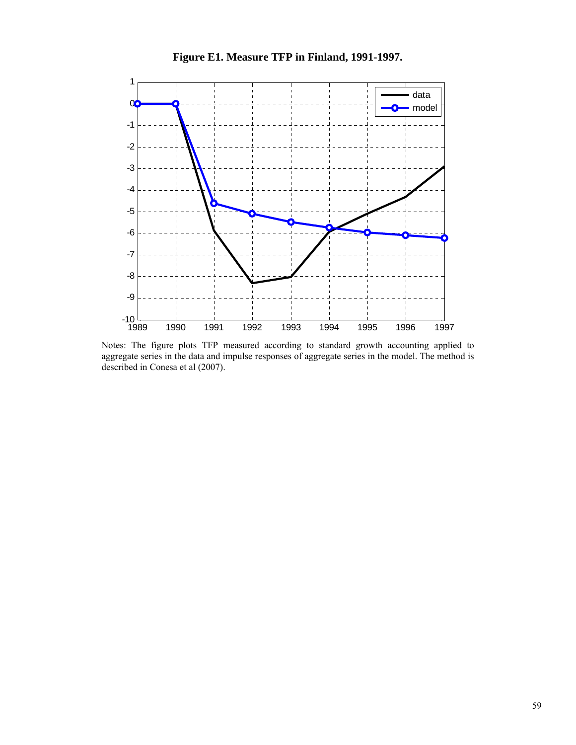

**Figure E1. Measure TFP in Finland, 1991-1997.** 

Notes: The figure plots TFP measured according to standard growth accounting applied to aggregate series in the data and impulse responses of aggregate series in the model. The method is described in Conesa et al (2007).